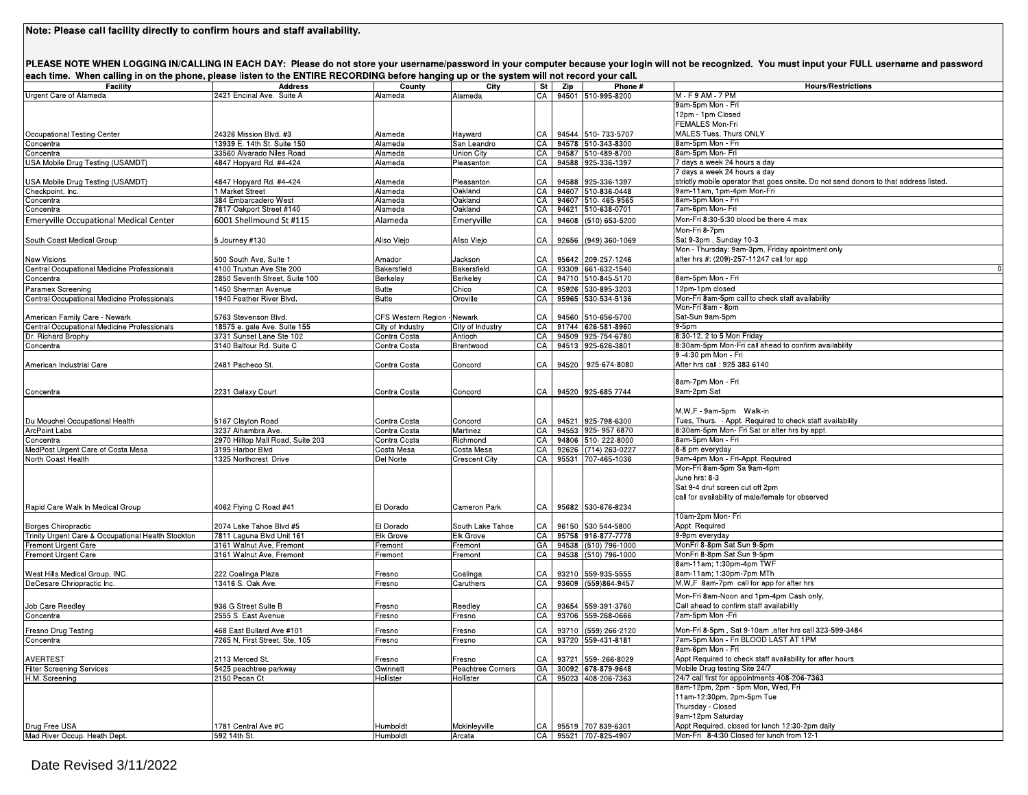|                                             |                                                                                                                                                                                                                                                                                                                                                                                                                                                                                            |                                                                                                                                                                                                      |                                                                                                                                                                                                                                                                |                                           | each time. When calling in on the phone, please listen to the ENTIRE RECORDING before hanging up or the system will not record your call. |                                                                                                                                                                                                                                                                                                                                                                                                                                                                                                                                                                                                                                                                                                                                                                                                                                                                                                                                                                                                                     |
|---------------------------------------------|--------------------------------------------------------------------------------------------------------------------------------------------------------------------------------------------------------------------------------------------------------------------------------------------------------------------------------------------------------------------------------------------------------------------------------------------------------------------------------------------|------------------------------------------------------------------------------------------------------------------------------------------------------------------------------------------------------|----------------------------------------------------------------------------------------------------------------------------------------------------------------------------------------------------------------------------------------------------------------|-------------------------------------------|-------------------------------------------------------------------------------------------------------------------------------------------|---------------------------------------------------------------------------------------------------------------------------------------------------------------------------------------------------------------------------------------------------------------------------------------------------------------------------------------------------------------------------------------------------------------------------------------------------------------------------------------------------------------------------------------------------------------------------------------------------------------------------------------------------------------------------------------------------------------------------------------------------------------------------------------------------------------------------------------------------------------------------------------------------------------------------------------------------------------------------------------------------------------------|
| <b>Address</b><br>2421 Encinal Ave. Suite A | County<br>Alameda                                                                                                                                                                                                                                                                                                                                                                                                                                                                          | City<br>Alameda                                                                                                                                                                                      |                                                                                                                                                                                                                                                                | St   Zip                                  | Phone #                                                                                                                                   | <b>Hours/Restrictions</b><br>M - F 9 AM - 7 PM                                                                                                                                                                                                                                                                                                                                                                                                                                                                                                                                                                                                                                                                                                                                                                                                                                                                                                                                                                      |
|                                             |                                                                                                                                                                                                                                                                                                                                                                                                                                                                                            |                                                                                                                                                                                                      |                                                                                                                                                                                                                                                                |                                           |                                                                                                                                           | 9am-5pm Mon - Fri                                                                                                                                                                                                                                                                                                                                                                                                                                                                                                                                                                                                                                                                                                                                                                                                                                                                                                                                                                                                   |
|                                             |                                                                                                                                                                                                                                                                                                                                                                                                                                                                                            |                                                                                                                                                                                                      |                                                                                                                                                                                                                                                                |                                           |                                                                                                                                           | 12pm - 1pm Closed<br>FEMALES Mon-Fri                                                                                                                                                                                                                                                                                                                                                                                                                                                                                                                                                                                                                                                                                                                                                                                                                                                                                                                                                                                |
|                                             |                                                                                                                                                                                                                                                                                                                                                                                                                                                                                            |                                                                                                                                                                                                      |                                                                                                                                                                                                                                                                |                                           |                                                                                                                                           | MALES Tues, Thurs ONLY                                                                                                                                                                                                                                                                                                                                                                                                                                                                                                                                                                                                                                                                                                                                                                                                                                                                                                                                                                                              |
| 13939 E. 14th St. Suite 150                 | Alameda                                                                                                                                                                                                                                                                                                                                                                                                                                                                                    | San Leandro                                                                                                                                                                                          |                                                                                                                                                                                                                                                                |                                           |                                                                                                                                           | 8am-5pm Mon - Fri                                                                                                                                                                                                                                                                                                                                                                                                                                                                                                                                                                                                                                                                                                                                                                                                                                                                                                                                                                                                   |
| 33560 Alvarado Niles Road                   | Alameda                                                                                                                                                                                                                                                                                                                                                                                                                                                                                    | Jnion City                                                                                                                                                                                           |                                                                                                                                                                                                                                                                |                                           |                                                                                                                                           | 8am-5pm Mon- Fri                                                                                                                                                                                                                                                                                                                                                                                                                                                                                                                                                                                                                                                                                                                                                                                                                                                                                                                                                                                                    |
|                                             |                                                                                                                                                                                                                                                                                                                                                                                                                                                                                            |                                                                                                                                                                                                      |                                                                                                                                                                                                                                                                |                                           |                                                                                                                                           | 7 days a week 24 hours a day<br>7 days a week 24 hours a day                                                                                                                                                                                                                                                                                                                                                                                                                                                                                                                                                                                                                                                                                                                                                                                                                                                                                                                                                        |
|                                             |                                                                                                                                                                                                                                                                                                                                                                                                                                                                                            |                                                                                                                                                                                                      |                                                                                                                                                                                                                                                                |                                           |                                                                                                                                           | strictly mobile operator that goes onsite. Do not send donors to that address listed.                                                                                                                                                                                                                                                                                                                                                                                                                                                                                                                                                                                                                                                                                                                                                                                                                                                                                                                               |
| 1 Market Street                             | Alameda                                                                                                                                                                                                                                                                                                                                                                                                                                                                                    | Oakland                                                                                                                                                                                              |                                                                                                                                                                                                                                                                |                                           |                                                                                                                                           | 9am-11am, 1pm-4pm Mon-Fri                                                                                                                                                                                                                                                                                                                                                                                                                                                                                                                                                                                                                                                                                                                                                                                                                                                                                                                                                                                           |
| 384 Embarcadero West                        | Alameda                                                                                                                                                                                                                                                                                                                                                                                                                                                                                    | Oakland                                                                                                                                                                                              |                                                                                                                                                                                                                                                                |                                           |                                                                                                                                           | 8am-5pm Mon - Fri                                                                                                                                                                                                                                                                                                                                                                                                                                                                                                                                                                                                                                                                                                                                                                                                                                                                                                                                                                                                   |
|                                             |                                                                                                                                                                                                                                                                                                                                                                                                                                                                                            |                                                                                                                                                                                                      |                                                                                                                                                                                                                                                                |                                           |                                                                                                                                           | 7am-6pm Mon- Fri<br>Mon-Fri 8:30-5:30 blood be there 4 max                                                                                                                                                                                                                                                                                                                                                                                                                                                                                                                                                                                                                                                                                                                                                                                                                                                                                                                                                          |
|                                             |                                                                                                                                                                                                                                                                                                                                                                                                                                                                                            |                                                                                                                                                                                                      |                                                                                                                                                                                                                                                                |                                           |                                                                                                                                           | Mon-Fri 8-7pm                                                                                                                                                                                                                                                                                                                                                                                                                                                                                                                                                                                                                                                                                                                                                                                                                                                                                                                                                                                                       |
| 5 Journey #130                              | Aliso Viejo                                                                                                                                                                                                                                                                                                                                                                                                                                                                                | Aliso Viejo                                                                                                                                                                                          | CA                                                                                                                                                                                                                                                             |                                           |                                                                                                                                           | Sat 9-3pm, Sunday 10-3                                                                                                                                                                                                                                                                                                                                                                                                                                                                                                                                                                                                                                                                                                                                                                                                                                                                                                                                                                                              |
|                                             |                                                                                                                                                                                                                                                                                                                                                                                                                                                                                            |                                                                                                                                                                                                      |                                                                                                                                                                                                                                                                |                                           |                                                                                                                                           | Mon - Thursday: 9am-3pm, Friday apointment only                                                                                                                                                                                                                                                                                                                                                                                                                                                                                                                                                                                                                                                                                                                                                                                                                                                                                                                                                                     |
| 500 South Ave, Suite 1                      | Amador                                                                                                                                                                                                                                                                                                                                                                                                                                                                                     | Jackson                                                                                                                                                                                              |                                                                                                                                                                                                                                                                |                                           |                                                                                                                                           | after hrs #: (209)-257-11247 call for app                                                                                                                                                                                                                                                                                                                                                                                                                                                                                                                                                                                                                                                                                                                                                                                                                                                                                                                                                                           |
|                                             |                                                                                                                                                                                                                                                                                                                                                                                                                                                                                            |                                                                                                                                                                                                      |                                                                                                                                                                                                                                                                |                                           |                                                                                                                                           | 8am-5pm Mon - Fri                                                                                                                                                                                                                                                                                                                                                                                                                                                                                                                                                                                                                                                                                                                                                                                                                                                                                                                                                                                                   |
| 1450 Sherman Avenue                         | <b>Butte</b>                                                                                                                                                                                                                                                                                                                                                                                                                                                                               |                                                                                                                                                                                                      | CA                                                                                                                                                                                                                                                             |                                           |                                                                                                                                           | 12pm-1pm closed                                                                                                                                                                                                                                                                                                                                                                                                                                                                                                                                                                                                                                                                                                                                                                                                                                                                                                                                                                                                     |
| 1940 Feather River Blvd.                    | <b>Butte</b>                                                                                                                                                                                                                                                                                                                                                                                                                                                                               | Oroville                                                                                                                                                                                             |                                                                                                                                                                                                                                                                |                                           |                                                                                                                                           | Mon-Fri 8am-5pm call to check staff availability                                                                                                                                                                                                                                                                                                                                                                                                                                                                                                                                                                                                                                                                                                                                                                                                                                                                                                                                                                    |
|                                             |                                                                                                                                                                                                                                                                                                                                                                                                                                                                                            |                                                                                                                                                                                                      |                                                                                                                                                                                                                                                                |                                           |                                                                                                                                           | Mon-Fri 8am - 8pm                                                                                                                                                                                                                                                                                                                                                                                                                                                                                                                                                                                                                                                                                                                                                                                                                                                                                                                                                                                                   |
|                                             |                                                                                                                                                                                                                                                                                                                                                                                                                                                                                            |                                                                                                                                                                                                      |                                                                                                                                                                                                                                                                |                                           |                                                                                                                                           | Sat-Sun 9am-5pm<br>$9-5pm$                                                                                                                                                                                                                                                                                                                                                                                                                                                                                                                                                                                                                                                                                                                                                                                                                                                                                                                                                                                          |
| 3731 Sunset Lane Ste 102                    | Contra Costa                                                                                                                                                                                                                                                                                                                                                                                                                                                                               | Antioch                                                                                                                                                                                              |                                                                                                                                                                                                                                                                |                                           |                                                                                                                                           | 8:30-12, 2 to 5 Mon Friday                                                                                                                                                                                                                                                                                                                                                                                                                                                                                                                                                                                                                                                                                                                                                                                                                                                                                                                                                                                          |
| 3140 Balfour Rd. Suite C                    | Contra Costa                                                                                                                                                                                                                                                                                                                                                                                                                                                                               | Brentwood                                                                                                                                                                                            |                                                                                                                                                                                                                                                                |                                           |                                                                                                                                           | 8:30am-5pm Mon-Fri call ahead to confirm availability                                                                                                                                                                                                                                                                                                                                                                                                                                                                                                                                                                                                                                                                                                                                                                                                                                                                                                                                                               |
|                                             |                                                                                                                                                                                                                                                                                                                                                                                                                                                                                            |                                                                                                                                                                                                      |                                                                                                                                                                                                                                                                |                                           |                                                                                                                                           | 9 -4:30 pm Mon - Fri                                                                                                                                                                                                                                                                                                                                                                                                                                                                                                                                                                                                                                                                                                                                                                                                                                                                                                                                                                                                |
|                                             |                                                                                                                                                                                                                                                                                                                                                                                                                                                                                            |                                                                                                                                                                                                      |                                                                                                                                                                                                                                                                |                                           |                                                                                                                                           | After hrs call : 925 383 6140                                                                                                                                                                                                                                                                                                                                                                                                                                                                                                                                                                                                                                                                                                                                                                                                                                                                                                                                                                                       |
|                                             |                                                                                                                                                                                                                                                                                                                                                                                                                                                                                            |                                                                                                                                                                                                      |                                                                                                                                                                                                                                                                |                                           |                                                                                                                                           | 8am-7pm Mon - Fri                                                                                                                                                                                                                                                                                                                                                                                                                                                                                                                                                                                                                                                                                                                                                                                                                                                                                                                                                                                                   |
| 2231 Galaxy Court                           | Contra Costa                                                                                                                                                                                                                                                                                                                                                                                                                                                                               | Concord                                                                                                                                                                                              |                                                                                                                                                                                                                                                                |                                           |                                                                                                                                           | 9am-2pm Sat                                                                                                                                                                                                                                                                                                                                                                                                                                                                                                                                                                                                                                                                                                                                                                                                                                                                                                                                                                                                         |
|                                             |                                                                                                                                                                                                                                                                                                                                                                                                                                                                                            |                                                                                                                                                                                                      |                                                                                                                                                                                                                                                                |                                           |                                                                                                                                           | M,W,F - 9am-5pm Walk-in                                                                                                                                                                                                                                                                                                                                                                                                                                                                                                                                                                                                                                                                                                                                                                                                                                                                                                                                                                                             |
|                                             | Contra Costa                                                                                                                                                                                                                                                                                                                                                                                                                                                                               | Concord                                                                                                                                                                                              | CA                                                                                                                                                                                                                                                             |                                           |                                                                                                                                           | Tues, Thurs. - Appt. Required to check staff availability                                                                                                                                                                                                                                                                                                                                                                                                                                                                                                                                                                                                                                                                                                                                                                                                                                                                                                                                                           |
| 3237 Alhambra Ave.                          | Contra Costa                                                                                                                                                                                                                                                                                                                                                                                                                                                                               | Martinez                                                                                                                                                                                             |                                                                                                                                                                                                                                                                |                                           |                                                                                                                                           | 8:30am-5pm Mon- Fri Sat or after hrs by appt.                                                                                                                                                                                                                                                                                                                                                                                                                                                                                                                                                                                                                                                                                                                                                                                                                                                                                                                                                                       |
| 2970 Hilltop Mall Road, Suite 203           | Contra Costa                                                                                                                                                                                                                                                                                                                                                                                                                                                                               | Richmond                                                                                                                                                                                             |                                                                                                                                                                                                                                                                |                                           |                                                                                                                                           | 8am-5pm Mon - Fri                                                                                                                                                                                                                                                                                                                                                                                                                                                                                                                                                                                                                                                                                                                                                                                                                                                                                                                                                                                                   |
|                                             |                                                                                                                                                                                                                                                                                                                                                                                                                                                                                            |                                                                                                                                                                                                      |                                                                                                                                                                                                                                                                |                                           |                                                                                                                                           | 8-8 pm everyday<br>9am-4pm Mon - Fri-Appt. Required                                                                                                                                                                                                                                                                                                                                                                                                                                                                                                                                                                                                                                                                                                                                                                                                                                                                                                                                                                 |
|                                             |                                                                                                                                                                                                                                                                                                                                                                                                                                                                                            |                                                                                                                                                                                                      |                                                                                                                                                                                                                                                                |                                           |                                                                                                                                           | Mon-Fri 8am-5pm Sa 9am-4pm                                                                                                                                                                                                                                                                                                                                                                                                                                                                                                                                                                                                                                                                                                                                                                                                                                                                                                                                                                                          |
|                                             |                                                                                                                                                                                                                                                                                                                                                                                                                                                                                            |                                                                                                                                                                                                      |                                                                                                                                                                                                                                                                |                                           |                                                                                                                                           | June hrs: 8-3                                                                                                                                                                                                                                                                                                                                                                                                                                                                                                                                                                                                                                                                                                                                                                                                                                                                                                                                                                                                       |
|                                             |                                                                                                                                                                                                                                                                                                                                                                                                                                                                                            |                                                                                                                                                                                                      |                                                                                                                                                                                                                                                                |                                           |                                                                                                                                           | Sat 9-4 druf screen cut off 2pm                                                                                                                                                                                                                                                                                                                                                                                                                                                                                                                                                                                                                                                                                                                                                                                                                                                                                                                                                                                     |
|                                             |                                                                                                                                                                                                                                                                                                                                                                                                                                                                                            |                                                                                                                                                                                                      |                                                                                                                                                                                                                                                                |                                           |                                                                                                                                           | call for availability of male/female for observed                                                                                                                                                                                                                                                                                                                                                                                                                                                                                                                                                                                                                                                                                                                                                                                                                                                                                                                                                                   |
|                                             |                                                                                                                                                                                                                                                                                                                                                                                                                                                                                            |                                                                                                                                                                                                      |                                                                                                                                                                                                                                                                |                                           |                                                                                                                                           | 10am-2pm Mon- Fri                                                                                                                                                                                                                                                                                                                                                                                                                                                                                                                                                                                                                                                                                                                                                                                                                                                                                                                                                                                                   |
| 2074 Lake Tahoe Blvd #5                     | El Dorado                                                                                                                                                                                                                                                                                                                                                                                                                                                                                  | South Lake Tahoe                                                                                                                                                                                     |                                                                                                                                                                                                                                                                |                                           |                                                                                                                                           | Appt. Required                                                                                                                                                                                                                                                                                                                                                                                                                                                                                                                                                                                                                                                                                                                                                                                                                                                                                                                                                                                                      |
| 7811 Laguna Blvd Unit 161                   | <b>Elk Grove</b>                                                                                                                                                                                                                                                                                                                                                                                                                                                                           | Elk Grove                                                                                                                                                                                            |                                                                                                                                                                                                                                                                |                                           |                                                                                                                                           | 9-9pm everyday                                                                                                                                                                                                                                                                                                                                                                                                                                                                                                                                                                                                                                                                                                                                                                                                                                                                                                                                                                                                      |
|                                             |                                                                                                                                                                                                                                                                                                                                                                                                                                                                                            |                                                                                                                                                                                                      |                                                                                                                                                                                                                                                                |                                           |                                                                                                                                           | MonFri 8-8pm Sat Sun 9-5pm<br>MonFri 8-8pm Sat Sun 9-5pm                                                                                                                                                                                                                                                                                                                                                                                                                                                                                                                                                                                                                                                                                                                                                                                                                                                                                                                                                            |
|                                             |                                                                                                                                                                                                                                                                                                                                                                                                                                                                                            |                                                                                                                                                                                                      |                                                                                                                                                                                                                                                                |                                           |                                                                                                                                           | 8am-11am; 1:30pm-4pm TWF                                                                                                                                                                                                                                                                                                                                                                                                                                                                                                                                                                                                                                                                                                                                                                                                                                                                                                                                                                                            |
| 222 Coalinga Plaza                          | Fresno                                                                                                                                                                                                                                                                                                                                                                                                                                                                                     | Coalinga                                                                                                                                                                                             | СA                                                                                                                                                                                                                                                             |                                           |                                                                                                                                           | 8am-11am; 1:30pm-7pm MTh                                                                                                                                                                                                                                                                                                                                                                                                                                                                                                                                                                                                                                                                                                                                                                                                                                                                                                                                                                                            |
| 13416 S. Oak Ave.                           | Fresno                                                                                                                                                                                                                                                                                                                                                                                                                                                                                     | Caruthers                                                                                                                                                                                            |                                                                                                                                                                                                                                                                |                                           |                                                                                                                                           | M, W, F 8am-7pm call for app for after hrs                                                                                                                                                                                                                                                                                                                                                                                                                                                                                                                                                                                                                                                                                                                                                                                                                                                                                                                                                                          |
|                                             |                                                                                                                                                                                                                                                                                                                                                                                                                                                                                            |                                                                                                                                                                                                      |                                                                                                                                                                                                                                                                |                                           |                                                                                                                                           | Mon-Fri 8am-Noon and 1pm-4pm Cash only,                                                                                                                                                                                                                                                                                                                                                                                                                                                                                                                                                                                                                                                                                                                                                                                                                                                                                                                                                                             |
| 936 G Street Suite B                        | Fresno                                                                                                                                                                                                                                                                                                                                                                                                                                                                                     | Reedley                                                                                                                                                                                              | CA                                                                                                                                                                                                                                                             |                                           |                                                                                                                                           | Call ahead to confirm staff availability                                                                                                                                                                                                                                                                                                                                                                                                                                                                                                                                                                                                                                                                                                                                                                                                                                                                                                                                                                            |
|                                             |                                                                                                                                                                                                                                                                                                                                                                                                                                                                                            |                                                                                                                                                                                                      |                                                                                                                                                                                                                                                                |                                           |                                                                                                                                           | 7am-5pm Mon-Fri                                                                                                                                                                                                                                                                                                                                                                                                                                                                                                                                                                                                                                                                                                                                                                                                                                                                                                                                                                                                     |
| 468 East Bullard Ave #101                   | Fresno                                                                                                                                                                                                                                                                                                                                                                                                                                                                                     | Fresno                                                                                                                                                                                               | CA                                                                                                                                                                                                                                                             | 93710                                     | (559) 266-2120                                                                                                                            | Mon-Fri 8-5pm, Sat 9-10am, after hrs call 323-599-3484                                                                                                                                                                                                                                                                                                                                                                                                                                                                                                                                                                                                                                                                                                                                                                                                                                                                                                                                                              |
|                                             |                                                                                                                                                                                                                                                                                                                                                                                                                                                                                            |                                                                                                                                                                                                      |                                                                                                                                                                                                                                                                |                                           |                                                                                                                                           | 7am-5pm Mon - Fri BLOOD LAST AT 1PM<br>9am-6pm Mon - Fri                                                                                                                                                                                                                                                                                                                                                                                                                                                                                                                                                                                                                                                                                                                                                                                                                                                                                                                                                            |
| 2113 Merced St.                             | Fresno                                                                                                                                                                                                                                                                                                                                                                                                                                                                                     | resno                                                                                                                                                                                                | СA                                                                                                                                                                                                                                                             |                                           |                                                                                                                                           | Appt Required to check staff availability for after hours                                                                                                                                                                                                                                                                                                                                                                                                                                                                                                                                                                                                                                                                                                                                                                                                                                                                                                                                                           |
| 5425 peachtree parkway                      | Gwinnett                                                                                                                                                                                                                                                                                                                                                                                                                                                                                   | Peachtree Corners                                                                                                                                                                                    | GA                                                                                                                                                                                                                                                             |                                           |                                                                                                                                           | Mobile Drug testing Site 24/7                                                                                                                                                                                                                                                                                                                                                                                                                                                                                                                                                                                                                                                                                                                                                                                                                                                                                                                                                                                       |
| 2150 Pecan Ct                               | Hollister                                                                                                                                                                                                                                                                                                                                                                                                                                                                                  | Hollister                                                                                                                                                                                            |                                                                                                                                                                                                                                                                |                                           |                                                                                                                                           | 24/7 call first for appointments 408-206-7363                                                                                                                                                                                                                                                                                                                                                                                                                                                                                                                                                                                                                                                                                                                                                                                                                                                                                                                                                                       |
|                                             |                                                                                                                                                                                                                                                                                                                                                                                                                                                                                            |                                                                                                                                                                                                      |                                                                                                                                                                                                                                                                |                                           |                                                                                                                                           | 8am-12pm, 2pm - 5pm Mon, Wed, Fri<br>11am-12:30pm, 2pm-5pm Tue                                                                                                                                                                                                                                                                                                                                                                                                                                                                                                                                                                                                                                                                                                                                                                                                                                                                                                                                                      |
|                                             |                                                                                                                                                                                                                                                                                                                                                                                                                                                                                            |                                                                                                                                                                                                      |                                                                                                                                                                                                                                                                |                                           |                                                                                                                                           | Thursday - Closed                                                                                                                                                                                                                                                                                                                                                                                                                                                                                                                                                                                                                                                                                                                                                                                                                                                                                                                                                                                                   |
|                                             |                                                                                                                                                                                                                                                                                                                                                                                                                                                                                            |                                                                                                                                                                                                      |                                                                                                                                                                                                                                                                |                                           |                                                                                                                                           | 9am-12pm Saturday                                                                                                                                                                                                                                                                                                                                                                                                                                                                                                                                                                                                                                                                                                                                                                                                                                                                                                                                                                                                   |
| 1781 Central Ave #C                         | Humboldt                                                                                                                                                                                                                                                                                                                                                                                                                                                                                   | Mckinleyville                                                                                                                                                                                        |                                                                                                                                                                                                                                                                |                                           | CA 95519 707 839-6301                                                                                                                     | Appt Required, closed for lunch 12:30-2pm daily                                                                                                                                                                                                                                                                                                                                                                                                                                                                                                                                                                                                                                                                                                                                                                                                                                                                                                                                                                     |
|                                             | 24326 Mission Blvd. #3<br>4847 Hopyard Rd. #4-424<br>4847 Hopyard Rd. #4-424<br>7817 Oakport Street #140<br>6001 Shellmound St #115<br>4100 Truxtun Ave Ste 200<br>2850 Seventh Street, Suite 100<br>5763 Stevenson Blvd.<br>18575 e. gale Ave. Suite 155<br>2481 Pacheco St.<br>5167 Clayton Road<br>3195 Harbor Blvd<br>1325 Northcrest Drive<br>4062 Flying C Road #41<br>3161 Walnut Ave, Fremont<br>3161 Walnut Ave, Fremont<br>2555 S. East Avenue<br>7265 N. First Street, Ste. 105 | Alameda<br>Alameda<br>Alameda<br>Alameda<br>Alameda<br>Bakersfield<br>Berkeley<br>City of Industry<br>Contra Costa<br>Costa Mesa<br>Del Norte<br>El Dorado<br>Fremont<br>Fremont<br>Fresno<br>Fresno | Hayward<br>Pleasanton<br>Pleasanton<br>Oakland<br>Emeryville<br>Bakersfield<br>Berkeley<br>Chico<br>CFS Western Region - Newark<br>City of Industry<br>Concord<br>Costa Mesa<br><b>Crescent City</b><br>Cameron Park<br>Fremont<br>Fremont<br>Fresno<br>Fresno | CA  <br><b>CA</b><br>СA<br>CA<br>CA<br>CA |                                                                                                                                           | CA 94501 510-995-8200<br>CA 94544 510-733-5707<br>CA 94578 510-343-8300<br>CA 94587 510-489-8700<br>CA 94588 925-336-1397<br>94588 925-336-1397<br>CA 94607 510-836-0448<br>CA 94607 510-465-9565<br>CA 94621 510-638-0701<br>94608<br>(510) 653-5200<br>92656<br>(949) 360-1069<br>CA 95642 209-257-1246<br>CA 93309 661-632-1540<br>CA 94710 510-845-5170<br>95926 530-895-3203<br>CA   95965 530-534-5136<br>94560 510-656-5700<br>CA 91744 626-581-8960<br>CA 94509 925-754-6780<br>CA 94513 925-626-3801<br>94520<br>925-674-8080<br>CA 94520 925-685 7744<br>94521 925-798-6300<br>CA 94553 925-957 6870<br>CA 94806 510-222-8000<br>CA 92626 (714) 263-0227<br>CA 95531 707-465-1036<br>95682 530-676-8234<br>CA 96150 530 544-5800<br>CA 95758 916-877-7778<br>GA 94538 (510) 796-1000<br>94538 (510) 796-1000<br>93210 559-935-5555<br>CA 93609 (559)864-9457<br>93654 559-391-3760<br>CA 93706 559-268-0666<br>CA 93720 559-431-8181<br>93721 559-266-8029<br>30092 678-879-9648<br>CA 95023 408-206-7363 |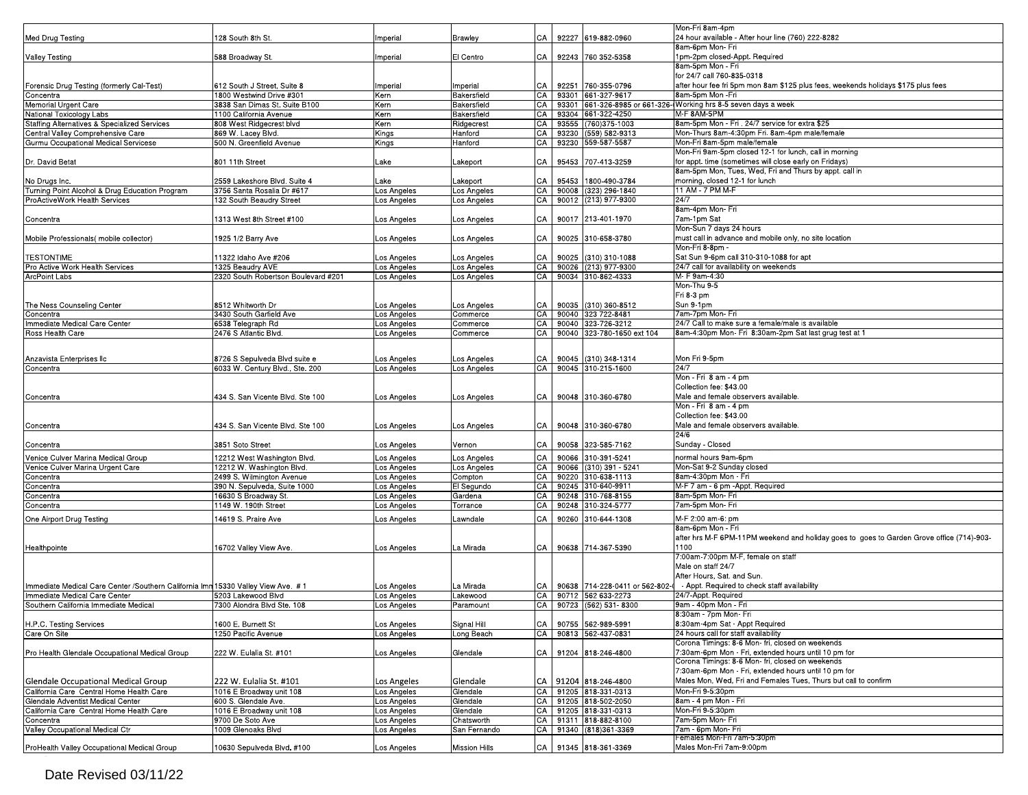|                                                                                   |                                              |             |               |    |                                | Mon-Fri 8am-4pm                                                                           |
|-----------------------------------------------------------------------------------|----------------------------------------------|-------------|---------------|----|--------------------------------|-------------------------------------------------------------------------------------------|
| Med Drug Testing                                                                  | 128 South 8th St.                            | mperial     | Brawley       | СA | 92227 619-882-0960             | 24 hour available - After hour line (760) 222-8282                                        |
|                                                                                   |                                              |             |               |    |                                | 8am-6pm Mon- Fri                                                                          |
| <b>Valley Testing</b>                                                             | 588 Broadway St.                             | Imperial    | El Centro     | CA | 92243 760 352-5358             | 1pm-2pm closed-Appt. Required                                                             |
|                                                                                   |                                              |             |               |    |                                | 8am-5pm Mon - Fri                                                                         |
|                                                                                   |                                              |             |               |    |                                | for 24/7 call 760-835-0318                                                                |
| Forensic Drug Testing (formerly Cal-Test)                                         | 612 South J Street, Suite 8                  | mperial     | Imperial      | СA | 92251 760-355-0796             | after hour fee fri 5pm mon 8am \$125 plus fees, weekends holidays \$175 plus fees         |
| Concentra                                                                         | 1800 Westwind Drive #301                     | Kern        | Bakersfield   | CA | 93301 661-327-9617             | 8am-5pm Mon -Fri                                                                          |
| Memorial Urgent Care                                                              | 3838 San Dimas St. Suite B100                | Kern        | Bakersfield   | CA |                                | 93301 661-326-8985 or 661-326- Working hrs 8-5 seven days a week                          |
| National Toxicology Labs                                                          | 1100 California Avenue                       | Kern        | Bakersfield   | CA | 93304 661-322-4250             | M-F 8AM-5PM                                                                               |
| Staffing Alternatives & Specialized Services                                      | 808 West Ridgecrest blvd                     | Kern        | Ridgecrest    | CA | 93555 (760) 375-1003           | 8am-5pm Mon - Fri . 24/7 service for extra \$25                                           |
| Central Valley Comprehensive Care                                                 | 869 W. Lacey Blvd.                           | Kings       | Hanford       | CA | 93230 (559) 582-9313           | Mon-Thurs 8am-4:30pm Fri. 8am-4pm male/female                                             |
| Gurmu Occupational Medical Servicese                                              | 500 N. Greenfield Avenue                     | Kings       | Hanford       | CА | 93230 559-587-5587             | Mon-Fri 8am-5pm male/female                                                               |
|                                                                                   |                                              |             |               |    |                                | Mon-Fri 9am-5pm closed 12-1 for lunch, call in morning                                    |
| Dr. David Betat                                                                   | 801 11th Street                              | Lake        | Lakeport      | CA | 95453 707-413-3259             | for appt. time (sometimes will close early on Fridays)                                    |
|                                                                                   |                                              |             |               |    |                                | 8am-5pm Mon, Tues, Wed, Fri and Thurs by appt. call in                                    |
|                                                                                   | 2559 Lakeshore Blvd. Suite 4                 | Lake        |               | СA | 95453 1800-490-3784            | morning, closed 12-1 for lunch                                                            |
| No Drugs Inc.                                                                     |                                              |             | Lakeport      | CA |                                | 11 AM - 7 PM M-F                                                                          |
| Turning Point Alcohol & Drug Education Program                                    | 3756 Santa Rosalia Dr #617                   | Los Angeles | Los Angeles   |    | 90008 (323) 296-1840           |                                                                                           |
| ProActiveWork Health Services                                                     | 132 South Beaudry Street                     | Los Angeles | Los Angeles   | CA | 90012 (213) 977-9300           | 24/7                                                                                      |
|                                                                                   |                                              |             |               |    |                                | 8am-4pm Mon- Fri                                                                          |
| Concentra                                                                         | 1313 West 8th Street #100                    | Los Angeles | Los Angeles   | CA | 90017 213-401-1970             | 7am-1pm Sat                                                                               |
|                                                                                   |                                              |             |               |    |                                | Mon-Sun 7 days 24 hours                                                                   |
| Mobile Professionals (mobile collector)                                           | 1925 1/2 Barry Ave                           | Los Angeles | Los Angeles   | CA | 90025 310-658-3780             | must call in advance and mobile only, no site location                                    |
|                                                                                   |                                              |             |               |    |                                | Mon-Fri 8-8pm                                                                             |
| <b>TESTONTIME</b>                                                                 | 1322 Idaho Ave #206                          | Los Angeles | Los Angeles   | СA | 90025 (310) 310-1088           | Sat Sun 9-6pm call 310-310-1088 for apt                                                   |
| Pro Active Work Health Services                                                   | 1325 Beaudry AVE                             | Los Angeles | Los Angeles   | CA | 90026 (213) 977-9300           | 24/7 call for availability on weekends                                                    |
| ArcPoint Labs                                                                     | 2320 South Robertson Boulevard #201          | _os Angeles | Los Angeles   | CA | 90034 310-862-4333             | M- F 9am-4:30                                                                             |
|                                                                                   |                                              |             |               |    |                                | Mon-Thu 9-5                                                                               |
|                                                                                   |                                              |             |               |    |                                | Fri 8-3 pm                                                                                |
|                                                                                   |                                              |             |               |    |                                | Sun 9-1pm                                                                                 |
| The Ness Counseling Center                                                        | 8512 Whitworth Dr<br>3430 South Garfield Ave | Los Angeles | Los Angeles   | CA | 90035 (310) 360-8512           |                                                                                           |
| Concentra                                                                         |                                              | Los Angeles | Commerce      | CA | 90040 323 722-8481             | 7am-7pm Mon- Fri<br>24/7 Call to make sure a female/male is available                     |
| Immediate Medical Care Center                                                     | 6538 Telegraph Rd                            | Los Angeles | Commerce      | CA | 90040 323-726-3212             |                                                                                           |
| Ross Health Care                                                                  | 2476 S Atlantic Blvd.                        | Los Angeles | Commerce      | CA | 90040 323-780-1650 ext 104     | 8am-4:30pm Mon- Fri 8:30am-2pm Sat last grug test at 1                                    |
|                                                                                   |                                              |             |               |    |                                |                                                                                           |
|                                                                                   |                                              |             |               |    |                                |                                                                                           |
| Anzavista Enterprises Ilc                                                         | 8726 S Sepulveda Blvd suite e                | _os Angeles | Los Angeles   | СA | 90045 (310) 348-1314           | Mon Fri 9-5pm                                                                             |
| Concentra                                                                         | 6033 W. Century Blvd., Ste. 200              | os Angeles  | Los Angeles   | CA | 90045 310-215-1600             | 24/7                                                                                      |
|                                                                                   |                                              |             |               |    |                                | Mon - Fri 8 am - 4 pm                                                                     |
|                                                                                   |                                              |             |               |    |                                | Collection fee: \$43.00                                                                   |
| Concentra                                                                         | 434 S. San Vicente Blvd. Ste 100             | Los Angeles | Los Angeles   | CA | 90048 310-360-6780             | Male and female observers available.                                                      |
|                                                                                   |                                              |             |               |    |                                | Mon - Fri 8 am - 4 pm                                                                     |
|                                                                                   |                                              |             |               |    |                                | Collection fee: \$43.00                                                                   |
| Concentra                                                                         | 434 S. San Vicente Blvd. Ste 100             | Los Angeles | Los Angeles   | CA | 90048 310-360-6780             | Male and female observers available.                                                      |
|                                                                                   |                                              |             |               |    |                                | 24/6                                                                                      |
| Concentra                                                                         | 3851 Soto Street                             | Los Angeles | Vernon        | СA | 90058 323-585-7162             | Sunday - Closed                                                                           |
|                                                                                   |                                              |             |               | CA |                                |                                                                                           |
| Venice Culver Marina Medical Group                                                | 12212 West Washington Blvd.                  | Los Angeles | Los Angeles   |    | 90066 310-391-5241             | normal hours 9am-6pm                                                                      |
| Venice Culver Marina Urgent Care                                                  | 12212 W. Washington Blvd.                    | Los Angeles | Los Angeles   | CA | 90066 (310) 391 - 5241         | Mon-Sat 9-2 Sunday closed                                                                 |
| Concentra                                                                         | 2499 S. Wilmington Avenue                    | Los Angeles | Compton       | CA | 90220 310-638-1113             | 8am-4:30pm Mon - Fri                                                                      |
| oncentra                                                                          | 390 N. Sepulveda, Suite 1000                 | Los Angeles | El Segundo    | CA | 90245 310-640-9911             | M-F 7 am - 6 pm - Appt. Required                                                          |
| oncentra'                                                                         | 16630 S Broadway St.                         | Los Angeles | Gardena       | CA | 90248 310-768-8155             | 8am-5pm Mon- Fri                                                                          |
| Concentra                                                                         | 1149 W. 190th Street                         | os Angeles  | Torrance      | CA | 90248 310-324-5777             | 7am-5pm Mon- Fri                                                                          |
|                                                                                   | 14619 S. Praire Ave                          |             | Lawndale      | CA | 90260 310-644-1308             | M-F 2:00 am-6: pm                                                                         |
| One Airport Drug Testing                                                          |                                              | Los Angeles |               |    |                                | 8am-6pm Mon - Fri                                                                         |
|                                                                                   |                                              |             |               |    |                                |                                                                                           |
|                                                                                   |                                              |             |               |    |                                | after hrs M-F 6PM-11PM weekend and holiday goes to goes to Garden Grove office (714)-903- |
| Healthpointe                                                                      | 16702 Valley View Ave.                       | Los Angeles | La Mirada     | CA | 90638 714-367-5390             | 1100                                                                                      |
|                                                                                   |                                              |             |               |    |                                | 7:00am-7:00pm M-F, female on staff                                                        |
|                                                                                   |                                              |             |               |    |                                | Male on staff 24/7                                                                        |
|                                                                                   |                                              |             |               |    |                                | After Hours. Sat. and Sun.                                                                |
| Immediate Medical Care Center /Southern California Imm 15330 Valley View Ave. # 1 |                                              | Los Angeles | La Mirada     | СA | 90638 714-228-0411 or 562-802- | - Appt. Required to check staff availability                                              |
| Immediate Medical Care Center                                                     | 5203 Lakewood Blvd                           | Los Angeles | Lakewood      | CA | 90712 562 633-2273             | 24/7-Appt. Required                                                                       |
| Southern California Immediate Medical                                             | 7300 Alondra Blvd Ste, 108                   | Los Angeles | Paramount     |    | CA 90723 (562) 531-8300        | 9am - 40pm Mon - Fri                                                                      |
|                                                                                   |                                              |             |               |    |                                | 8:30am - 7pm Mon- Fri                                                                     |
| H.P.C. Testing Services                                                           | 1600 E. Burnett St                           | Los Angeles | Signal Hill   | CA | 90755 562-989-5991             | 8:30am-4pm Sat - Appt Required                                                            |
| Care On Site                                                                      | 1250 Pacific Avenue                          | os Angeles  | Long Beach    | CA | 90813 562-437-0831             | 24 hours call for staff availability                                                      |
|                                                                                   |                                              |             |               |    |                                | Corona Timings: 8-6 Mon- fri, closed on weekends                                          |
|                                                                                   |                                              |             |               |    |                                |                                                                                           |
| Pro Health Glendale Occupational Medical Group                                    | 222 W. Eulalia St. #101                      | Los Angeles | Glendale      | СA | 91204 818-246-4800             | 7:30am-6pm Mon - Fri, extended hours until 10 pm for                                      |
|                                                                                   |                                              |             |               |    |                                | Corona Timings: 8-6 Mon- fri, closed on weekends                                          |
|                                                                                   |                                              |             |               |    |                                | 7:30am-6pm Mon - Fri, extended hours until 10 pm for                                      |
| Glendale Occupational Medical Group                                               | 222 W. Eulalia St. #101                      | os Angeles  | Glendale      | CA | 91204 818-246-4800             | Males Mon, Wed, Fri and Females Tues, Thurs but call to confirm                           |
| California Care Central Home Health Care                                          | 1016 E Broadway unit 108                     | _os Angeles | Glendale      | CA | 91205 818-331-0313             | Mon-Fri 9-5:30pm                                                                          |
| Glendale Adventist Medical Center                                                 | 600 S. Glendale Ave.                         | os Angeles  | Glendale      | CA | 91205 818-502-2050             | 8am - 4 pm Mon - Fri                                                                      |
| California Care Central Home Health Care                                          | 1016 E Broadway unit 108                     | Los Angeles | Glendale      | CA | 91205 818-331-0313             | Mon-Fri 9-5:30pm                                                                          |
| oncentra                                                                          | 9700 De Soto Ave                             | Los Angeles | Chatsworth    | CA | 91311 818-882-8100             | 7am-5pm Mon-Fri                                                                           |
| Valley Occupational Medical Ctr                                                   | 1009 Glenoaks Blvd                           | Los Angeles | San Fernando  | CA | 91340 (818) 361-3369           | 7am - 6pm Mon- Fri                                                                        |
|                                                                                   |                                              |             |               |    |                                | Females Mon-Fri 7am-5:30pm                                                                |
| ProHealth Valley Occupational Medical Group                                       | 10630 Sepulveda Blvd. #100                   | Los Angeles | Mission Hills | CA | 91345 818-361-3369             | Males Mon-Fri 7am-9:00pm                                                                  |
|                                                                                   |                                              |             |               |    |                                |                                                                                           |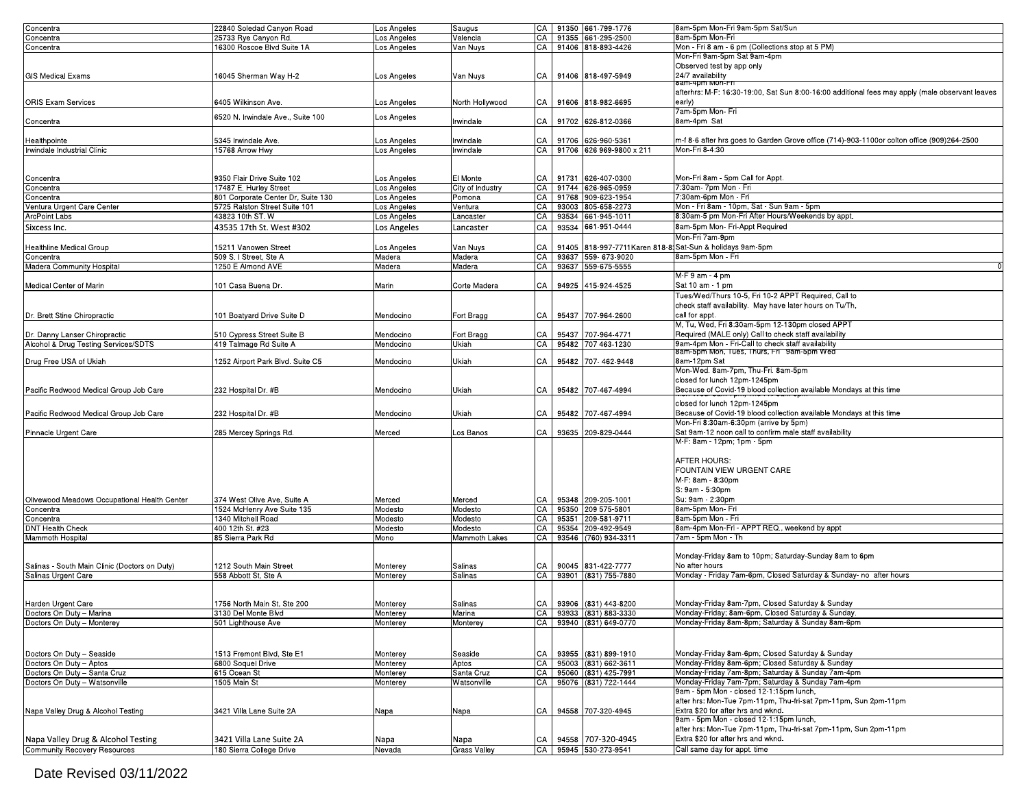| Concentra                                     | 22840 Soledad Canyon Road          | Los Angeles | Saugus              |      | CA   91350 661-799-1776  | 8am-5pm Mon-Fri 9am-5pm Sat/Sun                                                                 |
|-----------------------------------------------|------------------------------------|-------------|---------------------|------|--------------------------|-------------------------------------------------------------------------------------------------|
| Concentra                                     | 25733 Rye Canyon Rd.               | Los Angeles | Valencia            | CA   | 91355 661-295-2500       | 8am-5pm Mon-Fri                                                                                 |
| Concentra                                     | 16300 Roscoe Blvd Suite 1A         | Los Angeles | Van Nuys            | CA   | 91406 818-893-4426       | Mon - Fri 8 am - 6 pm (Collections stop at 5 PM)                                                |
|                                               |                                    |             |                     |      |                          | Mon-Fri 9am-5pm Sat 9am-4pm                                                                     |
|                                               |                                    |             |                     |      |                          |                                                                                                 |
|                                               |                                    |             |                     |      |                          | Observed test by app only                                                                       |
| <b>GIS Medical Exams</b>                      | 16045 Sherman Way H-2              | Los Angeles | Van Nuys            | CA   | 91406 818-497-5949       | 24/7 availability                                                                               |
|                                               |                                    |             |                     |      |                          | 8am-4pm won-Fri                                                                                 |
|                                               |                                    |             |                     |      |                          | afterhrs: M-F: 16:30-19:00, Sat Sun 8:00-16:00 additional fees may apply (male observant leaves |
| <b>ORIS Exam Services</b>                     | 6405 Wilkinson Ave.                | Los Angeles | North Hollywood     | CA I | 91606 818-982-6695       | early)                                                                                          |
|                                               |                                    |             |                     |      |                          | 7am-5pm Mon- Fri                                                                                |
|                                               | 6520 N. Irwindale Ave., Suite 100  | Los Angeles |                     |      |                          |                                                                                                 |
| Concentra                                     |                                    |             | Irwindale           | CA   | 91702 626-812-0366       | 8am-4pm Sat                                                                                     |
|                                               |                                    |             |                     |      |                          |                                                                                                 |
| Healthpointe                                  | 5345 Irwindale Ave.                | os Angeles  | Irwindale           | CA   | 91706 626-960-5361       | m-f 8-6 after hrs goes to Garden Grove office (714)-903-1100or colton office (909)264-2500      |
| Irwindale Industrial Clinic                   | 15768 Arrow Hwy                    | Los Angeles | Irwindale           | CA   | 91706 626 969-9800 x 211 | Mon-Fri 8-4:30                                                                                  |
|                                               |                                    |             |                     |      |                          |                                                                                                 |
|                                               |                                    |             |                     |      |                          |                                                                                                 |
|                                               |                                    |             |                     |      |                          |                                                                                                 |
| Concentra                                     | 9350 Flair Drive Suite 102         | Los Angeles | El Monte            | CA   | 91731 626-407-0300       | Mon-Fri 8am - 5pm Call for Appt.                                                                |
| Concentra                                     | 17487 E. Hurley Street             | Los Angeles | City of Industry    | СA   | 91744 626-965-0959       | 7:30am- 7pm Mon - Fri                                                                           |
| Concentra                                     | 801 Corporate Center Dr, Suite 130 | Los Angeles | Pomona              | CA   | 91768 909-623-1954       | 7:30am-6pm Mon - Fri                                                                            |
| Ventura Urgent Care Center                    | 5725 Ralston Street Suite 101      | Los Angeles | Ventura             | CA   | 93003 805-658-2273       | Mon - Fri 8am - 10pm, Sat - Sun 9am - 5pm                                                       |
|                                               | 43823 10th ST. W                   |             |                     |      |                          | 8:30am-5 pm Mon-Fri After Hours/Weekends by appt.                                               |
| ArcPoint Labs                                 |                                    | Los Angeles | Lancaster           | CA   | 93534 661-945-1011       |                                                                                                 |
| Sixcess Inc.                                  | 43535 17th St. West #302           | Los Angeles | Lancaster           | CA   | 93534 661-951-0444       | 8am-5pm Mon- Fri-Appt Required                                                                  |
|                                               |                                    |             |                     |      |                          | Mon-Fri 7am-9pm                                                                                 |
| Healthline Medical Group                      | 15211 Vanowen Street               |             |                     | CA   |                          | 91405 818-997-7711 Karen 818-81 Sat-Sun & holidays 9am-5pm                                      |
|                                               |                                    | Los Angeles | Van Nuys            |      |                          |                                                                                                 |
| oncentra'                                     | 509 S. I Street, Ste A             | Madera      | Madera              | СA   | 93637 559-673-9020       | 8am-5pm Mon - Fri                                                                               |
| Madera Community Hospital                     | 1250 E Almond AVE                  | Madera      | Madera              | СA   | 93637 559-675-5555       |                                                                                                 |
|                                               |                                    |             |                     |      |                          | M-F 9 am - 4 pm                                                                                 |
| Medical Center of Marin                       | 101 Casa Buena Dr.                 | Marin       | Corte Madera        | CA   | 94925 415-924-4525       | Sat 10 am - 1 pm                                                                                |
|                                               |                                    |             |                     |      |                          |                                                                                                 |
|                                               |                                    |             |                     |      |                          | Tues/Wed/Thurs 10-5, Fri 10-2 APPT Required, Call to                                            |
|                                               |                                    |             |                     |      |                          | check staff availability. May have later hours on Tu/Th,                                        |
| Dr. Brett Stine Chiropractic                  | 101 Boatyard Drive Suite D         | Mendocino   | Fort Bragg          | CA   | 95437 707-964-2600       | call for appt                                                                                   |
|                                               |                                    |             |                     |      |                          | M, Tu, Wed, Fri 8:30am-5pm 12-130pm closed APPT                                                 |
|                                               |                                    |             |                     |      |                          |                                                                                                 |
| Dr. Danny Lanser Chiropractic                 | 510 Cypress Street Suite B         | Mendocino   | Fort Bragg          | CA   | 95437 707-964-4771       | Required (MALE only) Call to check staff availability                                           |
| Alcohol & Drug Testing Services/SDTS          | 419 Talmage Rd Suite A             | Mendocino   | Ukiah               | СA   | 95482 707 463-1230       | 9am-4pm Mon - Fri-Call to check staff availability                                              |
|                                               |                                    |             |                     |      |                          | 8am-5pm Mon, Tues, Thurs, Fri 9am-5pm Wed                                                       |
| Drug Free USA of Ukiah                        | 1252 Airport Park Blvd. Suite C5   | Mendocino   | Ukiah               | CA   | 95482 707-462-9448       | 8am-12pm Sat                                                                                    |
|                                               |                                    |             |                     |      |                          | Mon-Wed. 8am-7pm, Thu-Fri. 8am-5pm                                                              |
|                                               |                                    |             |                     |      |                          | closed for lunch 12pm-1245pm                                                                    |
|                                               |                                    |             |                     |      |                          |                                                                                                 |
| Pacific Redwood Medical Group Job Care        | 232 Hospital Dr. #B                | Mendocino   | Ukiah               | CA   | 95482 707-467-4994       | Because of Covid-19 blood collection available Mondays at this time                             |
|                                               |                                    |             |                     |      |                          | closed for lunch 12pm-1245pm                                                                    |
|                                               |                                    |             |                     |      |                          |                                                                                                 |
| Pacific Redwood Medical Group Job Care        | 232 Hospital Dr. #B                | Mendocino   | Ukiah               | CA   | 95482 707-467-4994       | Because of Covid-19 blood collection available Mondays at this time                             |
|                                               |                                    |             |                     |      |                          | Mon-Fri 8:30am-6:30pm (arrive by 5pm)                                                           |
| Pinnacle Urgent Care                          | 285 Mercey Springs Rd.             | Merced      | Los Banos           | CA   | 93635 209-829-0444       | Sat 9am-12 noon call to confirm male staff availability                                         |
|                                               |                                    |             |                     |      |                          | M-F: 8am - 12pm; 1pm - 5pm                                                                      |
|                                               |                                    |             |                     |      |                          |                                                                                                 |
|                                               |                                    |             |                     |      |                          |                                                                                                 |
|                                               |                                    |             |                     |      |                          | AFTER HOURS:                                                                                    |
|                                               |                                    |             |                     |      |                          | FOUNTAIN VIEW URGENT CARE                                                                       |
|                                               |                                    |             |                     |      |                          | M-F: 8am - 8:30pm                                                                               |
|                                               |                                    |             |                     |      |                          | S: 9am - 5:30pm                                                                                 |
|                                               |                                    |             |                     |      |                          |                                                                                                 |
| Olivewood Meadows Occupational Health Center  | 374 West Olive Ave, Suite A        | Merced      | Merced              | CA   | 95348 209-205-1001       | Su: 9am - 2:30pm                                                                                |
| Concentra                                     | 1524 McHenry Ave Suite 135         | Modesto     | Modesto             | CA   | 95350 209 575-5801       | 8am-5pm Mon- Fri                                                                                |
| Concentra                                     | 1340 Mitchell Road                 | Modesto     | Modesto             | CA   | 95351 209-581-9711       | 8am-5pm Mon - Fri                                                                               |
| DNT Health Check                              | 400 12th St. #23                   | Modesto     | Modesto             | CA   | 95354 209-492-9549       | 8am-4pm Mon-Fri - APPT REQ., weekend by appt                                                    |
| Mammoth Hospital                              | 85 Sierra Park Rd                  | Mono        | Mammoth Lakes       |      |                          | 7am - 5pm Mon - Th                                                                              |
|                                               |                                    |             |                     | CA   | 93546 (760) 934-3311     |                                                                                                 |
|                                               |                                    |             |                     |      |                          |                                                                                                 |
|                                               |                                    |             |                     |      |                          | Monday-Friday 8am to 10pm; Saturday-Sunday 8am to 6pm                                           |
| Salinas - South Main Clinic (Doctors on Duty) | 1212 South Main Street             | Monterey    | Salinas             | CA   | 90045 831-422-7777       | No after hours                                                                                  |
| Salinas Urgent Care                           | 558 Abbott St, Ste A               | Monterey    | Salinas             | CA   | 93901 (831) 755-7880     | Monday - Friday 7am-6pm, Closed Saturday & Sunday- no after hours                               |
|                                               |                                    |             |                     |      |                          |                                                                                                 |
|                                               |                                    |             |                     |      |                          |                                                                                                 |
|                                               |                                    |             |                     |      |                          |                                                                                                 |
| Harden Urgent Care                            | 1756 North Main St, Ste 200        | Monterey    | Salinas             |      | CA 93906 (831) 443-8200  | Monday-Friday 8am-7pm, Closed Saturday & Sunday                                                 |
| Doctors On Duty - Marina                      | 3130 Del Monte Blvd                | Monterey    | Marina              | CA   | 93933 (831) 883-3330     | Monday-Friday; 8am-6pm, Closed Saturday & Sunday.                                               |
| Doctors On Duty - Monterey                    | 501 Lighthouse Ave                 | Monterey    | Monterey            | CA   | 93940 (831) 649-0770     | Monday-Friday 8am-8pm; Saturday & Sunday 8am-6pm                                                |
|                                               |                                    |             |                     |      |                          |                                                                                                 |
|                                               |                                    |             |                     |      |                          |                                                                                                 |
|                                               |                                    |             |                     |      |                          |                                                                                                 |
| Doctors On Duty - Seaside                     | 1513 Fremont Blvd, Ste E1          | Monterey    | Seaside             | CA   | 93955 (831) 899-1910     | Monday-Friday 8am-6pm; Closed Saturday & Sunday                                                 |
| Doctors On Duty - Aptos                       | 6800 Soquel Drive                  | Monterey    | Aptos               |      | 95003 (831) 662-3611     | Monday-Friday 8am-6pm; Closed Saturday & Sunday                                                 |
|                                               |                                    |             |                     | СA   |                          |                                                                                                 |
| Doctors On Duty - Santa Cruz                  | 615 Ocean St                       | Monterey    | Santa Cruz          | CA   | 95060 (831) 425-7991     | Monday-Friday 7am-8pm; Saturday & Sunday 7am-4pm                                                |
| Doctors On Duty - Watsonville                 | 1505 Main St                       | Monterey    | Watsonville         | СA   | 95076 (831) 722-1444     | Monday-Friday 7am-7pm; Saturday & Sunday 7am-4pm                                                |
|                                               |                                    |             |                     |      |                          | 9am - 5pm Mon - closed 12-1:15pm lunch,                                                         |
|                                               |                                    |             |                     |      |                          | after hrs: Mon-Tue 7pm-11pm, Thu-fri-sat 7pm-11pm, Sun 2pm-11pm                                 |
|                                               |                                    |             |                     |      |                          | Extra \$20 for after hrs and wknd.                                                              |
| Napa Valley Drug & Alcohol Testing            | 3421 Villa Lane Suite 2A           | Napa        | Napa                | CA   | 94558 707-320-4945       |                                                                                                 |
|                                               |                                    |             |                     |      |                          | 9am - 5pm Mon - closed 12-1:15pm lunch,                                                         |
|                                               |                                    |             |                     |      |                          | after hrs: Mon-Tue 7pm-11pm, Thu-fri-sat 7pm-11pm, Sun 2pm-11pm                                 |
| Napa Valley Drug & Alcohol Testing            | 3421 Villa Lane Suite 2A           | Napa        | Napa                | CA   | 94558 707-320-4945       | Extra \$20 for after hrs and wknd.                                                              |
|                                               |                                    |             |                     |      |                          |                                                                                                 |
| <b>Community Recovery Resources</b>           | 180 Sierra College Drive           | Nevada      | <b>Grass Valley</b> | CA   | 95945 530-273-9541       | Call same day for appt. time                                                                    |

Date Revised 03/11/2022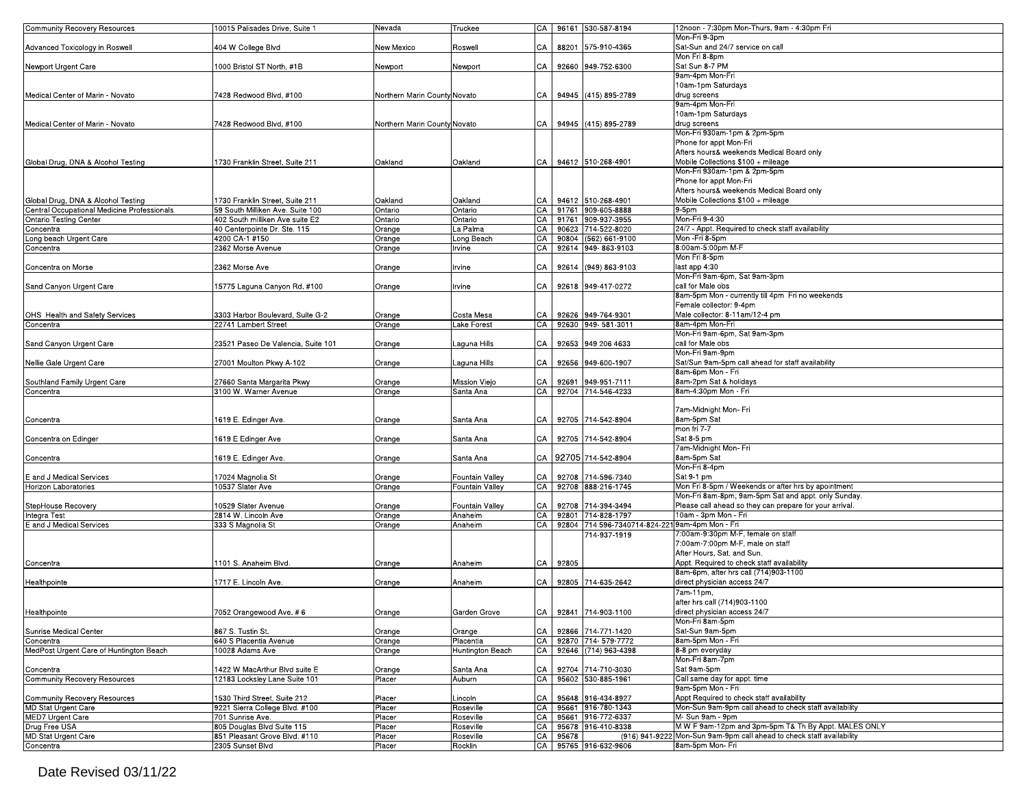| <b>Community Recovery Resources</b>         | 10015 Palisades Drive, Suite 1                    | Nevada                       | Truckee              |    |          | CA 96161 530-587-8194                           | 12noon - 7:30pm Mon-Thurs, 9am - 4:30pm Fri                                               |
|---------------------------------------------|---------------------------------------------------|------------------------------|----------------------|----|----------|-------------------------------------------------|-------------------------------------------------------------------------------------------|
|                                             |                                                   |                              |                      |    |          |                                                 | Mon-Fri 9-3pm                                                                             |
| Advanced Toxicology in Roswell              | 404 W College Blvd                                | New Mexico                   | Roswell              | СA |          | 88201 575-910-4365                              | Sat-Sun and 24/7 service on call                                                          |
|                                             |                                                   |                              |                      |    |          |                                                 | Mon Fri 8-8pm                                                                             |
| Newport Urgent Care                         | 1000 Bristol ST North, #1B                        | Newport                      | Newport              | СA |          | 92660 949-752-6300                              | Sat Sun 8-7 PM                                                                            |
|                                             |                                                   |                              |                      |    |          |                                                 | 9am-4pm Mon-Fri                                                                           |
|                                             |                                                   |                              |                      |    |          |                                                 |                                                                                           |
|                                             |                                                   |                              |                      |    |          |                                                 | 10am-1pm Saturdays                                                                        |
| Medical Center of Marin - Novato            | 7428 Redwood Blvd, #100                           | Northern Marin County Novato |                      | CA |          | 94945 (415) 895-2789                            | drug screens                                                                              |
|                                             |                                                   |                              |                      |    |          |                                                 | 9am-4pm Mon-Fri                                                                           |
|                                             |                                                   |                              |                      |    |          |                                                 | 10am-1pm Saturdays                                                                        |
| Medical Center of Marin - Novato            | 7428 Redwood Blvd, #100                           | Northern Marin County Novato |                      | CA |          | 94945 (415) 895-2789                            | drug screens                                                                              |
|                                             |                                                   |                              |                      |    |          |                                                 | Mon-Fri 930am-1pm & 2pm-5pm                                                               |
|                                             |                                                   |                              |                      |    |          |                                                 | Phone for appt Mon-Fri                                                                    |
|                                             |                                                   |                              |                      |    |          |                                                 | Afters hours& weekends Medical Board only                                                 |
|                                             | 1730 Franklin Street. Suite 211                   |                              | Oakland              | CA |          | 94612 510-268-4901                              | Mobile Collections \$100 + mileage                                                        |
| Global Drug, DNA & Alcohol Testing          |                                                   | Oakland                      |                      |    |          |                                                 |                                                                                           |
|                                             |                                                   |                              |                      |    |          |                                                 | Mon-Fri 930am-1pm & 2pm-5pm                                                               |
|                                             |                                                   |                              |                      |    |          |                                                 | Phone for appt Mon-Fri                                                                    |
|                                             |                                                   |                              |                      |    |          |                                                 | Afters hours& weekends Medical Board only                                                 |
| Global Drug, DNA & Alcohol Testing          | 1730 Franklin Street, Suite 211                   | Oakland                      | Oakland              | CA |          | 94612 510-268-4901                              | Mobile Collections \$100 + mileage                                                        |
| Central Occupational Medicine Professionals | 59 South Milliken Ave. Suite 100                  | Ontario                      | Ontario              | СA |          | 91761 909-605-8888                              | 9-5pm                                                                                     |
| <b>Ontario Testing Center</b>               | 402 South milliken Ave suite E2                   | Ontario                      | Ontario              | CA |          | 91761 909-937-3955                              | Mon-Fri 9-4:30                                                                            |
| Concentra                                   | 40 Centerpointe Dr. Ste. 115                      | Orange                       | La Palma             | CA |          | 90623 714-522-8020                              | 24/7 - Appt. Required to check staff availability                                         |
|                                             | 4200 CA-1 #150                                    |                              | Long Beach           | CA |          | 90804 (562) 661-9100                            | Mon - Fri 8-5pm                                                                           |
| Long beach Urgent Care                      |                                                   | Orange                       |                      |    |          |                                                 |                                                                                           |
| Concentra                                   | 2362 Morse Avenue                                 | Orange                       | Irvine               | CA |          | 92614 949-863-9103                              | 8:00am-5:00pm M-F                                                                         |
|                                             |                                                   |                              |                      |    |          |                                                 | Mon Fri 8-5pm                                                                             |
| Concentra on Morse                          | 2362 Morse Ave                                    | Orange                       | Irvine               | СA | 92614    | (949) 863-9103                                  | last app 4:30                                                                             |
|                                             |                                                   |                              |                      |    |          |                                                 | Mon-Fri 9am-6pm, Sat 9am-3pm                                                              |
| Sand Canyon Urgent Care                     | 15775 Laguna Canyon Rd. #100                      | Orange                       | Irvine               | CA |          | 92618 949-417-0272                              | call for Male obs                                                                         |
|                                             |                                                   |                              |                      |    |          |                                                 | 8am-5pm Mon - currently till 4pm Fri no weekends                                          |
|                                             |                                                   |                              |                      |    |          |                                                 | Female collector: 9-4pm                                                                   |
| OHS Health and Safety Services              | 3303 Harbor Boulevard, Suite G-2                  | Orange                       | Costa Mesa           | СA |          | 92626 949-764-9301                              | Male collector: 8-11am/12-4 pm                                                            |
|                                             | 22741 Lambert Street                              |                              | Lake Forest          | СA |          | 92630 949-581-3011                              | 8am-4pm Mon-Fri                                                                           |
| Concentra                                   |                                                   | Orange                       |                      |    |          |                                                 |                                                                                           |
|                                             |                                                   |                              |                      |    |          |                                                 | Mon-Fri 9am-6pm, Sat 9am-3pm                                                              |
| Sand Canyon Urgent Care                     | 23521 Paseo De Valencia, Suite 101                | Orange                       | Laguna Hills         | СA |          | 92653 949 206 4633                              | call for Male obs                                                                         |
|                                             |                                                   |                              |                      |    |          |                                                 | Mon-Fri 9am-9pm                                                                           |
| Nellie Gale Urgent Care                     | 27001 Moulton Pkwy A-102                          | Orange                       | Laguna Hills         | СA |          | 92656 949-600-1907                              | Sat/Sun 9am-5pm call ahead for staff availability                                         |
|                                             |                                                   |                              |                      |    |          |                                                 | 8am-6pm Mon - Fri                                                                         |
| Southland Family Urgent Care                | 27660 Santa Margarita Pkwy                        | Orange                       | Mission Viejo        | СA | 92691    | 949-951-7111                                    | 8am-2pm Sat & holidays                                                                    |
| Concentra                                   | 3100 W. Warner Avenue                             | Orange                       | Santa Ana            | CA |          | 92704 714-546-4233                              | 8am-4:30pm Mon - Fri                                                                      |
|                                             |                                                   |                              |                      |    |          |                                                 |                                                                                           |
|                                             |                                                   |                              |                      |    |          |                                                 |                                                                                           |
|                                             |                                                   |                              |                      |    |          |                                                 |                                                                                           |
|                                             |                                                   |                              |                      |    |          |                                                 | 7am-Midnight Mon- Fri                                                                     |
| Concentra                                   | 1619 E. Edinger Ave.                              | Orange                       | Santa Ana            | СA |          | 92705 714-542-8904                              | 8am-5pm Sat                                                                               |
|                                             |                                                   |                              |                      |    |          |                                                 | mon fri 7-7                                                                               |
| Concentra on Edinger                        | 1619 E Edinger Ave                                | Orange                       | Santa Ana            | CA |          | 92705 714-542-8904                              | Sat 8-5 pm                                                                                |
|                                             |                                                   |                              |                      |    |          |                                                 | 7am-Midnight Mon- Fri                                                                     |
|                                             |                                                   |                              |                      | CA |          |                                                 | 8am-5pm Sat                                                                               |
| Concentra                                   | 1619 E. Edinger Ave.                              | Orange                       | Santa Ana            |    |          | 92705 714-542-8904                              |                                                                                           |
|                                             |                                                   |                              |                      |    |          |                                                 | Mon-Fri 8-4pm                                                                             |
| E and J Medical Services                    | 17024 Magnolia St                                 | Orange                       | Fountain Valley      | CA |          | 92708 714-596-7340                              | Sat 9-1 pm                                                                                |
| Horizon Laboratories                        | 10537 Slater Ave                                  | Orange                       | Fountain Valley      | CA |          | 92708 888-216-1745                              | Mon Fri 8-5pm / Weekends or after hrs by apointment                                       |
|                                             |                                                   |                              |                      |    |          |                                                 | Mon-Fri 8am-8pm; 9am-5pm Sat and appt. only Sunday.                                       |
| StepHouse Recovery                          | 10529 Slater Avenue                               | Orange                       | Fountain Valley      | CA |          | 92708 714-394-3494                              | Please call ahead so they can prepare for your arrival.                                   |
| Integra Test                                | 2814 W. Lincoln Ave                               | Orange                       | Anaheim              | СA |          | 92801 714-828-1797                              | 10am - 3pm Mon - Fri                                                                      |
| E and J Medical Services                    | 333 S Magnolia St                                 | Orange                       | Anaheim              | CA |          | 92804 714 596-7340714-824-221 9am-4pm Mon - Fri |                                                                                           |
|                                             |                                                   |                              |                      |    |          |                                                 | 7:00am-9:30pm M-F, female on staff                                                        |
|                                             |                                                   |                              |                      |    |          | 714-937-1919                                    |                                                                                           |
|                                             |                                                   |                              |                      |    |          |                                                 | 7:00am-7:00pm M-F, male on staff                                                          |
|                                             |                                                   |                              |                      |    |          |                                                 | After Hours, Sat. and Sun.                                                                |
| Concentra                                   | 101 S. Anaheim Blvd.                              | Orange                       | Anaheim              | CA | 92805    |                                                 | Appt. Required to check staff availability                                                |
|                                             |                                                   |                              |                      |    |          |                                                 | 8am-6pm, after hrs call (714)903-1100                                                     |
| Healthpointe                                | 1717 E. Lincoln Ave.                              | Orange                       | Anaheim              | CA |          | 92805 714-635-2642                              | direct physician access 24/7                                                              |
|                                             |                                                   |                              |                      |    |          |                                                 | 7am-11pm.                                                                                 |
|                                             |                                                   |                              |                      |    |          |                                                 | after hrs call (714)903-1100                                                              |
|                                             |                                                   |                              |                      |    |          |                                                 |                                                                                           |
| Healthpointe                                | 7052 Orangewood Ave. #6                           | Orange                       | Garden Grove         |    |          | CA 92841 714-903-1100                           | direct physician access 24/7                                                              |
|                                             |                                                   |                              |                      |    |          |                                                 | Mon-Fri 8am-5pm                                                                           |
| Sunrise Medical Center                      | 867 S. Tustin St.                                 | Orange                       | Orange               | СA |          | 92866 714-771-1420                              | Sat-Sun 9am-5pm                                                                           |
| Concentra                                   | 640 S Placentia Avenue                            | Orange                       | Placentia            | CA |          | 92870 714-579-7772                              | 8am-5pm Mon - Fri                                                                         |
| MedPost Urgent Care of Huntington Beach     | 10028 Adams Ave                                   | Orange                       | Huntington Beach     | CA |          | 92646 (714) 963-4398                            | 8-8 pm everyday                                                                           |
|                                             |                                                   |                              |                      |    |          |                                                 | Mon-Fri 8am-7pm                                                                           |
| Concentra                                   | 1422 W MacArthur Blvd suite E                     | Orange                       | Santa Ana            | СA |          | 92704 714-710-3030                              | Sat 9am-5pm                                                                               |
| Community Recovery Resources                | 12183 Locksley Lane Suite 101                     | Placer                       | Auburn               | CA |          | 95602 530-885-1961                              | Call same day for appt. time                                                              |
|                                             |                                                   |                              |                      |    |          |                                                 | 9am-5pm Mon - Fri                                                                         |
|                                             |                                                   |                              |                      |    |          |                                                 |                                                                                           |
| Community Recovery Resources                | 1530 Third Street, Suite 212                      | Placer                       | Lincoln              | СA |          | 95648 916-434-8927                              | Appt Required to check staff availability                                                 |
| <b>MD Stat Urgent Care</b>                  | 9221 Sierra College Blvd. #100                    | Placer                       | Roseville            | CA |          | 95661 916-780-1343                              | Mon-Sun 9am-9pm call ahead to check staff availability                                    |
| MED7 Urgent Care                            | 701 Sunrise Ave.                                  | Placer                       | Roseville            | CA |          | 95661 916-772-6337                              | M-Sun 9am - 9pm                                                                           |
| Drug Free USA                               | 805 Douglas Blvd Suite 115                        | Placer                       | Roseville            |    |          | CA 95678 916-410-8338                           | M W F 9am-12pm and 3pm-5pm T& Th By Appt. MALES ONLY                                      |
| <b>MD Stat Urgent Care</b><br>Concentra     | 851 Pleasant Grove Blvd. #110<br>2305 Sunset Blvd | Placer<br>Placer             | Roseville<br>Rocklin |    | CA 95678 | CA 95765 916-632-9606                           | (916) 941-9222 Mon-Sun 9am-9pm call ahead to check staff availability<br>8am-5pm Mon- Fri |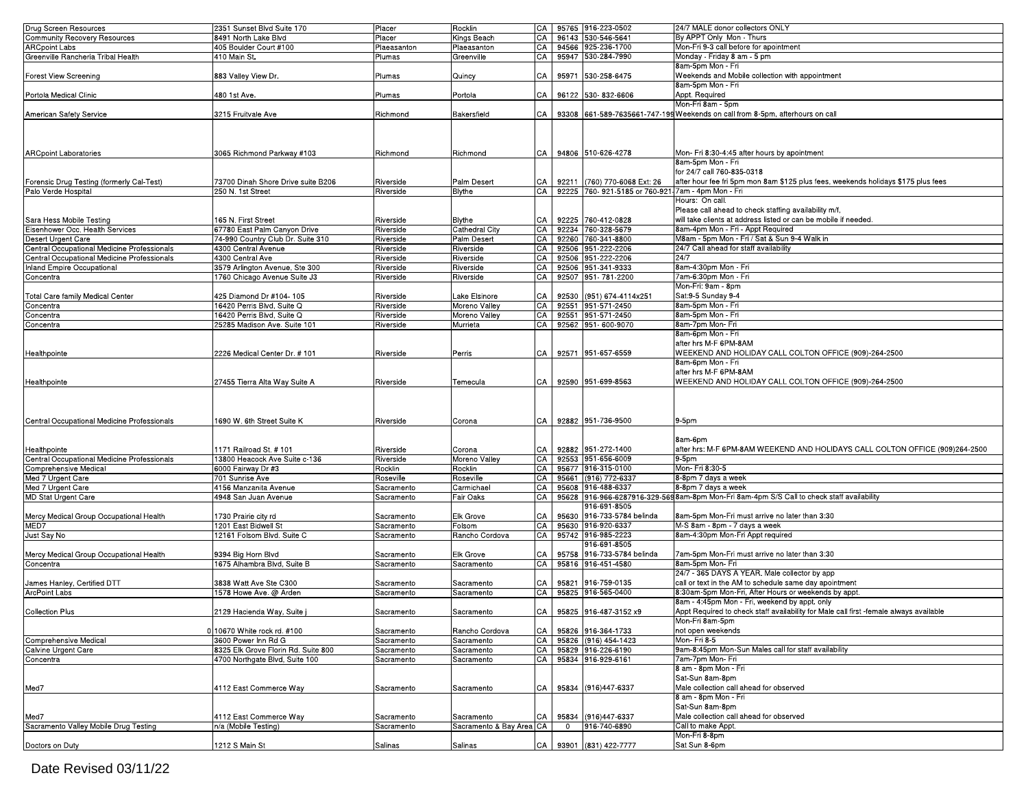| Drug Screen Resources                       | 2351 Sunset Blvd Suite 170          | Placer      | Rocklin                  |    |                | CA 95765 916-223-0502                              | 24/7 MALE donor collectors ONLY                                                        |
|---------------------------------------------|-------------------------------------|-------------|--------------------------|----|----------------|----------------------------------------------------|----------------------------------------------------------------------------------------|
| Community Recovery Resources                | 8491 North Lake Blvd                | Placer      | Kings Beach              | CA |                | 96143 530-546-5641                                 | By APPT Only Mon - Thurs                                                               |
| <b>ARCpoint Labs</b>                        | 405 Boulder Court #100              | Plaeasanton | Plaeasanton              | CA |                | 94566 925-236-1700                                 | Mon-Fri 9-3 call before for apointment                                                 |
| Greenville Rancheria Tribal Health          | 410 Main St.                        | Plumas      | Greenville               | CA | 95947          | 530-284-7990                                       | Monday - Friday 8 am - 5 pm                                                            |
|                                             |                                     |             |                          |    |                |                                                    | 8am-5pm Mon - Fri                                                                      |
| Forest View Screening                       | 883 Valley View Dr.                 | Plumas      | Quincy                   | СA | 95971          | 530-258-6475                                       | Weekends and Mobile collection with appointment                                        |
|                                             |                                     |             |                          |    |                |                                                    | 8am-5pm Mon - Fri                                                                      |
|                                             |                                     |             |                          |    |                |                                                    |                                                                                        |
| Portola Medical Clinic                      | 480 1st Ave.                        | Plumas      | Portola                  | СA |                | 96122 530-832-6606                                 | Appt. Required                                                                         |
|                                             |                                     |             |                          |    |                |                                                    | Mon-Fri 8am - 5pm                                                                      |
| American Safety Service                     | 3215 Fruitvale Ave                  | Richmond    | Bakersfield              | СA |                |                                                    | 93308 661-589-7635661-747-199 Weekends on call from 8-5pm, afterhours on call          |
|                                             |                                     |             |                          |    |                |                                                    |                                                                                        |
|                                             |                                     |             |                          |    |                |                                                    |                                                                                        |
|                                             |                                     |             |                          |    |                |                                                    |                                                                                        |
|                                             |                                     | Richmond    |                          | СA |                | 94806 510-626-4278                                 |                                                                                        |
| <b>ARCpoint Laboratories</b>                | 3065 Richmond Parkway #103          |             | Richmond                 |    |                |                                                    | Mon- Fri 8:30-4:45 after hours by apointment                                           |
|                                             |                                     |             |                          |    |                |                                                    | 8am-5pm Mon - Fri                                                                      |
|                                             |                                     |             |                          |    |                |                                                    | for 24/7 call 760-835-0318                                                             |
| Forensic Drug Testing (formerly Cal-Test)   | 73700 Dinah Shore Drive suite B206  | Riverside   | Palm Desert              | СA | 92211          | (760) 770-6068 Ext: 26                             | after hour fee fri 5pm mon 8am \$125 plus fees, weekends holidays \$175 plus fees      |
| Palo Verde Hospital                         | 250 N. 1st Street                   | Riverside   | <b>Blythe</b>            | CA |                | 92225 760- 921-5185 or 760-921 7am - 4pm Mon - Fri |                                                                                        |
|                                             |                                     |             |                          |    |                |                                                    | Hours: On call.                                                                        |
|                                             |                                     |             |                          |    |                |                                                    | Please call ahead to check staffing availability m/f,                                  |
| Sara Hess Mobile Testing                    | 165 N. First Street                 | Riverside   | Blythe                   | CА |                | 92225 760-412-0828                                 | will take clients at address listed or can be mobile if needed.                        |
| Eisenhower Occ. Health Services             | 67780 East Palm Canyon Drive        | Riverside   | Cathedral City           | CA |                | 92234 760-328-5679                                 | 8am-4pm Mon - Fri - Appt Required                                                      |
|                                             |                                     |             |                          | CA |                | 92260 760-341-8800                                 | M8am - 5pm Mon - Fri / Sat & Sun 9-4 Walk in                                           |
| Desert Urgent Care                          | 74-990 Country Club Dr. Suite 310   | Riverside   | Palm Desert              |    |                |                                                    |                                                                                        |
| Central Occupational Medicine Professionals | 4300 Central Avenue                 | Riverside   | Riverside                | CA | 92506          | 951-222-2206                                       | 24/7 Call ahead for staff availability                                                 |
| Central Occupational Medicine Professionals | 4300 Central Ave                    | Riverside   | Riverside                | СA |                | 92506 951-222-2206                                 | 24/7                                                                                   |
| Inland Empire Occupational                  | 3579 Arlington Avenue, Ste 300      | Riverside   | Riverside                | CA |                | 92506 951-341-9333                                 | 8am-4:30pm Mon - Fri                                                                   |
| Concentra                                   | 1760 Chicago Avenue Suite J3        | Riverside   | Riverside                | СA |                | 92507 951-781-2200                                 | 7am-6:30pm Mon - Fri                                                                   |
|                                             |                                     |             |                          |    |                |                                                    | Mon-Fri: 9am - 8pm                                                                     |
| <b>Total Care family Medical Center</b>     | 425 Diamond Dr #104- 105            | Riverside   | Lake Elsinore            | СA | 92530          | (951) 674-4114x251                                 | Sat:9-5 Sunday 9-4                                                                     |
| Concentra                                   | 16420 Perris Blvd, Suite Q          | Riverside   | Moreno Valley            | CA |                | 92551 951-571-2450                                 | 8am-5pm Mon - Fri                                                                      |
|                                             |                                     |             |                          | CA |                |                                                    | 8am-5pm Mon - Fri                                                                      |
| Concentra                                   | 16420 Perris Blvd, Suite Q          | Riverside   | Moreno Valley            |    | 92551          | 951-571-2450                                       |                                                                                        |
| Concentra                                   | 25285 Madison Ave. Suite 101        | Riverside   | Murrieta                 | CA |                | 92562 951-600-9070                                 | 8am-7pm Mon-Fri                                                                        |
|                                             |                                     |             |                          |    |                |                                                    | 8am-6pm Mon - Fri                                                                      |
|                                             |                                     |             |                          |    |                |                                                    | after hrs M-F 6PM-8AM                                                                  |
| Healthpointe                                | 2226 Medical Center Dr. # 101       | Riverside   | Perris                   | СA |                | 92571 951-657-6559                                 | WEEKEND AND HOLIDAY CALL COLTON OFFICE (909)-264-2500                                  |
|                                             |                                     |             |                          |    |                |                                                    | 8am-6pm Mon - Fri                                                                      |
|                                             |                                     |             |                          |    |                |                                                    | after hrs M-F 6PM-8AM                                                                  |
| Healthpointe                                | 27455 Tierra Alta Way Suite A       | Riverside   | Temecula                 | СA |                | 92590 951-699-8563                                 | WEEKEND AND HOLIDAY CALL COLTON OFFICE (909)-264-2500                                  |
|                                             |                                     |             |                          |    |                |                                                    |                                                                                        |
|                                             |                                     |             |                          |    |                |                                                    |                                                                                        |
|                                             |                                     |             |                          |    |                |                                                    |                                                                                        |
|                                             |                                     |             |                          |    |                |                                                    |                                                                                        |
| Central Occupational Medicine Professionals | 1690 W. 6th Street Suite K          | Riverside   | Corona                   | СA |                | 92882 951-736-9500                                 | 9-5pm                                                                                  |
|                                             |                                     |             |                          |    |                |                                                    |                                                                                        |
|                                             |                                     |             |                          |    |                |                                                    | 8am-6pm                                                                                |
| Healthpointe                                | 1171 Railroad St. # 101             |             |                          | СA |                | 92882 951-272-1400                                 | after hrs: M-F 6PM-8AM WEEKEND AND HOLIDAYS CALL COLTON OFFICE (909)264-2500           |
|                                             |                                     | Riverside   | Corona                   |    |                |                                                    |                                                                                        |
| Central Occupational Medicine Professionals | 13800 Heacock Ave Suite c-136       | Riverside   | Moreno Valley            | CA |                | 92553 951-656-6009                                 | $9-5pm$                                                                                |
| Comprehensive Medical                       | 6000 Fairway Dr #3                  | Rocklin     | Rocklin                  | CA |                | 95677 916-315-0100                                 | Mon- Fri 8:30-5                                                                        |
| Med 7 Urgent Care                           | 701 Sunrise Ave                     | Roseville   | Roseville                | CA | 95661          | (916) 772-6337                                     | 8-8pm 7 days a week                                                                    |
| Med 7 Urgent Care                           | 4156 Manzanita Avenue               | Sacramento  | Carmichael               | CA | 95608          | 916-488-6337                                       | 8-8pm 7 days a week                                                                    |
| MD Stat Urgent Care                         | 4948 San Juan Avenue                | Sacramento  | Fair Oaks                | CA | 95628          |                                                    | 916-966-6287916-329-5698am-8pm Mon-Fri 8am-4pm S/S Call to check staff availability    |
|                                             |                                     |             |                          |    |                | 916-691-8505                                       |                                                                                        |
| Mercy Medical Group Occupational Health     | 1730 Prairie city rd                | Sacramento  | <b>Elk Grove</b>         | СA |                | 95630 916-733-5784 belinda                         | 8am-5pm Mon-Fri must arrive no later than 3:30                                         |
| MED7                                        | 1201 East Bidwell St                | Sacramento  | Folsom                   | CA | 95630          | 916-920-6337                                       | M-S 8am - 8pm - 7 days a week                                                          |
|                                             | 12161 Folsom Blvd. Suite C          |             |                          |    |                | 95742 916-985-2223                                 | 8am-4:30pm Mon-Fri Appt required                                                       |
| Just Say No                                 |                                     | Sacramento  | Rancho Cordova           | CA |                |                                                    |                                                                                        |
|                                             |                                     |             |                          |    |                | 916-691-8505                                       |                                                                                        |
| Mercy Medical Group Occupational Health     | 9394 Big Horn Blvd                  | Sacramento  | <b>Elk Grove</b>         |    | 95758          | 916-733-5784 belinda                               | 7am-5pm Mon-Fri must arrive no later than 3:30                                         |
| Concentra                                   | 1675 Alhambra Blvd, Suite B         |             |                          |    |                |                                                    |                                                                                        |
|                                             |                                     | Sacramento  | Sacramento               | CA | 95816          | 916-451-4580                                       | 8am-5pm Mon- Fri                                                                       |
| James Hanley, Certified DTT                 |                                     |             |                          |    |                |                                                    | 24/7 - 365 DAYS A YEAR. Male collector by app                                          |
|                                             |                                     |             |                          | СA |                |                                                    | call or text in the AM to schedule same day apointment                                 |
|                                             | 3838 Watt Ave Ste C300              | Sacramento  | Sacramento               |    | 95821          | 916-759-0135                                       |                                                                                        |
| <b>ArcPoint Labs</b>                        | 1578 Howe Ave. @ Arden              | Sacramento  | Sacramento               | CA |                | 95825 916-565-0400                                 | 8:30am-5pm Mon-Fri, After Hours or weekends by appt.                                   |
|                                             |                                     |             |                          |    |                |                                                    | 8am - 4:45pm Mon - Fri, weekend by appt. only                                          |
| Collection Plus                             | 2129 Hacienda Way, Suite            | Sacramento  | Sacramento               |    |                | CA   95825 916-487-3152 x9                         | Appt Required to check staff availability for Male call first -female always available |
|                                             |                                     |             |                          |    |                |                                                    | Mon-Fri 8am-5pm                                                                        |
|                                             | 0 10670 White rock rd. #100         | Sacramento  | Rancho Cordova           | CA |                | 95826 916-364-1733                                 | not open weekends                                                                      |
| Comprehensive Medical                       | 3600 Power Inn Rd G                 | Sacramento  | Sacramento               | СA |                | 95826 (916) 454-1423                               | Mon-Fri 8-5                                                                            |
| Calvine Urgent Care                         | 8325 Elk Grove Florin Rd. Suite 800 | Sacramento  | Sacramento               | CA |                | 95829 916-226-6190                                 | 9am-8:45pm Mon-Sun Males call for staff availability                                   |
|                                             |                                     |             |                          | CA |                |                                                    | 7am-7pm Mon- Fri                                                                       |
| Concentra                                   | 4700 Northgate Blvd, Suite 100      | Sacramento  | Sacramento               |    |                | 95834 916-929-6161                                 |                                                                                        |
|                                             |                                     |             |                          |    |                |                                                    | 8 am - 8pm Mon - Fri                                                                   |
|                                             |                                     |             |                          |    |                |                                                    | Sat-Sun 8am-8pm                                                                        |
| Med7                                        | 4112 East Commerce Way              | Sacramento  | Sacramento               | CA | 95834          | (916)447-6337                                      | Male collection call ahead for observed                                                |
|                                             |                                     |             |                          |    |                |                                                    | 8 am - 8pm Mon - Fri                                                                   |
|                                             |                                     |             |                          |    |                |                                                    | Sat-Sun 8am-8pm                                                                        |
| Med7                                        | 4112 East Commerce Way              | Sacramento  | Sacramento               | ЗA | 95834          | (916)447-6337                                      | Male collection call ahead for observed                                                |
| Sacramento Valley Mobile Drug Testing       | n/a (Mobile Testing)                | Sacramento  | Sacramento & Bay Area CA |    | $\overline{0}$ | 916-740-6890                                       | Call to make Appt.                                                                     |
|                                             |                                     |             |                          |    |                |                                                    | Mon-Fri 8-8pm                                                                          |
| Doctors on Duty                             | 1212 S Main St                      | Salinas     | Salinas                  | CA |                | 93901 (831) 422-7777                               | Sat Sun 8-6pm                                                                          |

Date Revised 03/11/22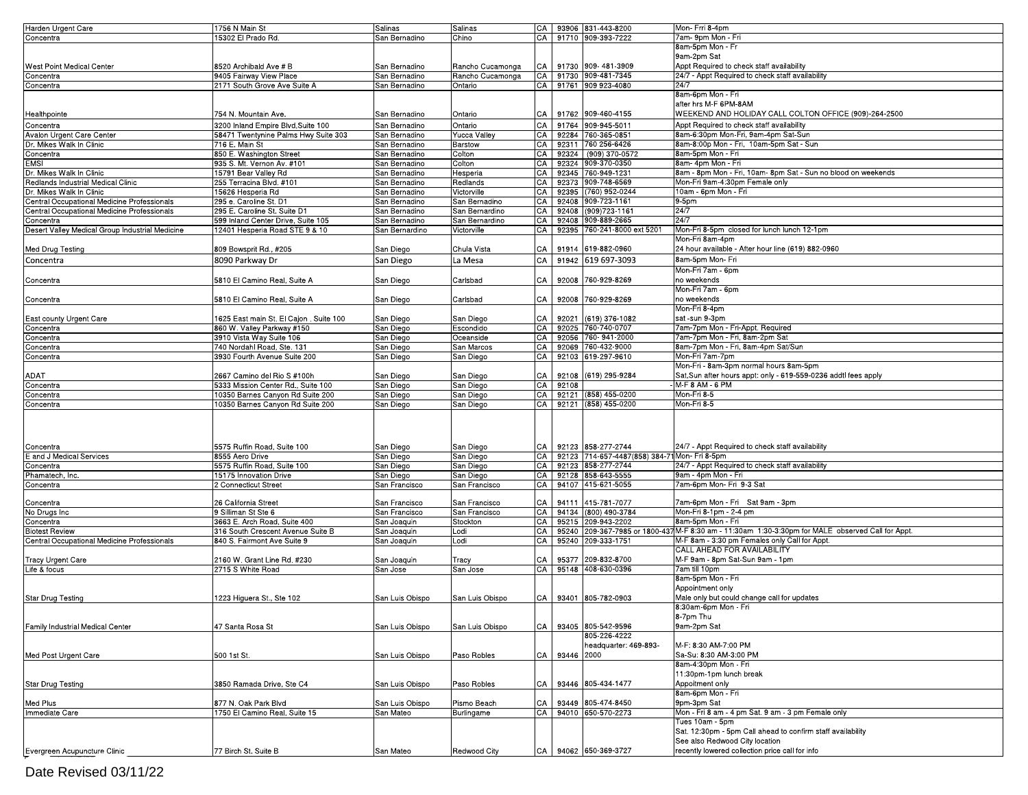| Harden Urgent Care                              | 1756 N Main St                          | Salinas         | Salinas             |    |       | CA   93906 831-443-8200                       | Mon-Frri 8-4pm                                                                                    |
|-------------------------------------------------|-----------------------------------------|-----------------|---------------------|----|-------|-----------------------------------------------|---------------------------------------------------------------------------------------------------|
| Concentra                                       | 15302 El Prado Rd.                      | San Bernadino   | Chino               | CA |       | 91710 909-393-7222                            | 7am- 9pm Mon - Fri                                                                                |
|                                                 |                                         |                 |                     |    |       |                                               | 8am-5pm Mon - Fr                                                                                  |
|                                                 |                                         |                 |                     |    |       |                                               |                                                                                                   |
|                                                 |                                         |                 |                     |    |       |                                               | 9am-2pm Sat                                                                                       |
| West Point Medical Center                       | 8520 Archibald Ave # B                  | San Bernadino   | Rancho Cucamonga    | CA |       | 91730 909-481-3909                            | Appt Required to check staff availability                                                         |
| Concentra                                       | 9405 Fairway View Place                 | San Bernadino   | Rancho Cucamonga    | CA |       | 91730 909-481-7345                            | 24/7 - Appt Required to check staff availability                                                  |
| Concentra                                       | 2171 South Grove Ave Suite A            | San Bernadino   | Ontario             | СA |       | 91761 909 923-4080                            | 24/7                                                                                              |
|                                                 |                                         |                 |                     |    |       |                                               | 8am-6pm Mon - Fri                                                                                 |
|                                                 |                                         |                 |                     |    |       |                                               | after hrs M-F 6PM-8AM                                                                             |
|                                                 |                                         |                 |                     |    |       |                                               |                                                                                                   |
| Healthpointe                                    | 754 N. Mountain Ave.                    | San Bernadino   | Ontario             | CA |       | 91762 909-460-4155                            | WEEKEND AND HOLIDAY CALL COLTON OFFICE (909)-264-2500                                             |
| Concentra                                       | 3200 Inland Empire Blvd, Suite 100      | San Bernadino   | Ontario             | CA |       | 91764 909-945-5011                            | Appt Required to check staff availability                                                         |
| Avalon Urgent Care Center                       | 58471 Twentynine Palms Hwy Suite 303    | San Bernadino   | <b>Yucca Valley</b> | CA |       | 92284 760-365-0851                            | 8am-6:30pm Mon-Fri, 9am-4pm Sat-Sun                                                               |
|                                                 |                                         |                 |                     |    |       |                                               |                                                                                                   |
| Dr. Mikes Walk In Clinic                        | 716 E. Main St                          | San Bernadino   | Barstow             | СA |       | 92311 760 256-6426                            | 8am-8:00p Mon - Fri, 10am-5pm Sat - Sun                                                           |
| Concentra                                       | 850 E. Washington Street                | San Bernadino   | Colton              | CA |       | 92324 (909) 370-0572                          | 8am-5pm Mon - Fri                                                                                 |
| <b>EMSI</b>                                     | 935 S. Mt. Vernon Av. #101              | San Bernadino   | Colton              | СA |       | 92324 909-370-0350                            | 8am- 4pm Mon - Fri                                                                                |
| Dr. Mikes Walk In Clinic                        | 15791 Bear Valley Rd                    | San Bernadino   | Hesperia            | СA |       | 92345 760-949-1231                            | 8am - 8pm Mon - Fri, 10am- 8pm Sat - Sun no blood on weekends                                     |
| Redlands Industrial Medical Clinic              | 255 Terracina Blvd. #101                | San Bernadino   | Redlands            | СA |       | 92373 909-748-6569                            | Mon-Fri 9am-4:30pm Female only                                                                    |
| Dr. Mikes Walk In Clinic                        |                                         |                 | Victorville         | СA |       | 92395 (760) 952-0244                          | 10am - 6pm Mon - Fri                                                                              |
|                                                 | 15626 Hesperia Rd                       | San Bernadino   |                     |    |       |                                               |                                                                                                   |
| Central Occupational Medicine Professionals     | 295 e. Caroline St. D1                  | San Bernadino   | San Bernadino       | CА |       | 92408 909-723-1161                            | 9-5pm                                                                                             |
| Central Occupational Medicine Professionals     | 295 E. Caroline St. Suite D1            | San Bernadino   | San Bernardino      | СA |       | 92408 (909) 723-1161                          | 24/7                                                                                              |
| Concentra                                       | 599 Inland Center Drive, Suite 105      | San Bernadino   | San Bernardino      | CA |       | 92408 909-889-2665                            | 24/7                                                                                              |
| Desert Valley Medical Group Industrial Medicine | 12401 Hesperia Road STE 9 & 10          | San Bernardino  | Victorville         | СA |       | 92395 760-241-8000 ext 5201                   | Mon-Fri 8-5pm closed for lunch lunch 12-1pm                                                       |
|                                                 |                                         |                 |                     |    |       |                                               | Mon-Fri 8am-4pm                                                                                   |
|                                                 |                                         |                 |                     |    |       |                                               |                                                                                                   |
| Med Drug Testing                                | 809 Bowsprit Rd., #205                  | San Diego       | Chula Vista         | СA | 91914 | 619-882-0960                                  | 24 hour available - After hour line (619) 882-0960                                                |
| Concentra                                       | 8090 Parkway Dr                         | San Diego       | La Mesa             | CA | 91942 | 619 697-3093                                  | 8am-5pm Mon- Fri                                                                                  |
|                                                 |                                         |                 |                     |    |       |                                               | Mon-Fri 7am - 6pm                                                                                 |
|                                                 |                                         |                 |                     |    |       |                                               |                                                                                                   |
| Concentra                                       | 5810 El Camino Real, Suite A            | San Diego       | Carlsbad            | CA |       | 92008 760-929-8269                            | no weekends                                                                                       |
|                                                 |                                         |                 |                     |    |       |                                               | Mon-Fri 7am - 6pm                                                                                 |
| Concentra                                       | 5810 El Camino Real, Suite A            | San Diego       | Carlsbad            | CA |       | 92008 760-929-8269                            | no weekends                                                                                       |
|                                                 |                                         |                 |                     |    |       |                                               | Mon-Fri 8-4pm                                                                                     |
|                                                 |                                         |                 |                     |    |       |                                               |                                                                                                   |
| East county Urgent Care                         | 1625 East main St. El Cajon . Suite 100 | San Diego       | San Diego           | CA |       | 92021 (619) 376-1082                          | sat -sun 9-3pm                                                                                    |
| Concentra                                       | 860 W. Valley Parkway #150              | San Diego       | Escondido           | СA |       | 92025 760-740-0707                            | 7am-7pm Mon - Fri-Appt. Required                                                                  |
| Concentra                                       | 3910 Vista Way Suite 106                | San Diego       | Oceanside           | CA |       | 92056 760-941-2000                            | 7am-7pm Mon - Fri, 8am-2pm Sat                                                                    |
| Concentra                                       | 740 Nordahl Road, Ste. 131              | San Diego       | San Marcos          | CA |       | 92069 760-432-9000                            | 8am-7pm Mon - Fri, 8am-4pm Sat/Sun                                                                |
| Concentra                                       | 3930 Fourth Avenue Suite 200            | San Diego       | San Diego           | CA |       | 92103 619-297-9610                            | Mon-Fri 7am-7pm                                                                                   |
|                                                 |                                         |                 |                     |    |       |                                               |                                                                                                   |
|                                                 |                                         |                 |                     |    |       |                                               | Mon-Fri - 8am-3pm normal hours 8am-5pm                                                            |
| ADAT                                            | 2667 Camino del Rio S #100h             | San Diego       | San Diego           | CA |       | 92108 (619) 295-9284                          | Sat, Sun after hours appt: only - 619-559-0236 addtl fees apply                                   |
| Concentra                                       | 5333 Mission Center Rd., Suite 100      | San Diego       | San Diego           | CA | 92108 |                                               | M-F 8 AM - 6 PM                                                                                   |
| Concentra                                       | 10350 Barnes Canyon Rd Suite 200        | San Diego       | San Diego           | СA |       | 92121 (858) 455-0200                          | Mon-Fri 8-5                                                                                       |
| Concentra                                       | 10350 Barnes Canyon Rd Suite 200        | San Diego       | San Diego           | CA |       | 92121 (858) 455-0200                          | Mon-Fri 8-5                                                                                       |
|                                                 |                                         |                 |                     |    |       |                                               |                                                                                                   |
|                                                 |                                         |                 |                     |    |       |                                               |                                                                                                   |
|                                                 |                                         |                 |                     |    |       |                                               |                                                                                                   |
|                                                 |                                         |                 |                     |    |       |                                               |                                                                                                   |
|                                                 |                                         |                 |                     |    |       |                                               |                                                                                                   |
| Concentra                                       | 5575 Ruffin Road, Suite 100             | San Diego       | San Diego           | CA |       | 92123 858-277-2744                            | 24/7 - Appt Required to check staff availability                                                  |
| E and J Medical Services                        | 8555 Aero Drive                         | San Diego       | San Diego           | CA |       | 92123 714-657-4487(858) 384-71 Mon- Fri 8-5pm |                                                                                                   |
| Concentra                                       | 5575 Ruffin Road, Suite 100             | San Diego       | San Diego           | CA |       | 92123 858-277-2744                            | 24/7 - Appt Required to check staff availability                                                  |
| Phamatech, Inc.                                 | 15175 Innovation Drive                  | San Diego       | San Diego           | СA |       | 92128 858-643-5555                            | 9am - 4pm Mon - Fri                                                                               |
|                                                 |                                         |                 |                     |    |       |                                               |                                                                                                   |
| Concentra                                       | 2 Connecticut Street                    | San Francisco   | San Francisco       | СA |       | 94107 415-621-5055                            | 7am-6pm Mon- Fri 9-3 Sat                                                                          |
|                                                 |                                         |                 |                     |    |       |                                               |                                                                                                   |
| Concentra                                       | 26 California Street                    | San Francisco   | San Francisco       | CA |       | 94111 415-781-7077                            | 7am-6pm Mon - Fri Sat 9am - 3pm                                                                   |
| No Drugs Inc                                    | 9 Silliman St Ste 6                     | San Francisco   | San Francisco       | СA |       | 94134 (800) 490-3784                          | Mon-Fri 8-1pm - 2-4 pm                                                                            |
| Concentra                                       | 3663 E. Arch Road, Suite 400            | San Joaquin     | Stockton            | СA |       | 95215 209-943-2202                            | 8am-5pm Mon - Fri                                                                                 |
|                                                 |                                         |                 |                     | СA |       |                                               | 95240 209-367-7985 or 1800-437 M-F 8:30 am - 11:30am 1:30-3:30pm for MALE observed Call for Appt. |
| <b>Biotest Review</b>                           | 316 South Crescent Avenue Suite B       | San Joaquin     | Lodi                |    |       |                                               |                                                                                                   |
| Central Occupational Medicine Professionals     | 840 S. Fairmont Ave Suite 9             | San Joaquin     | Lodi                | СA |       | 95240 209-333-1751                            | M-F 8am - 3:30 pm Females only Call for Appt                                                      |
|                                                 |                                         |                 |                     |    |       |                                               | CALL AHEAD FOR AVAILABILITY                                                                       |
| <b>Tracy Urgent Care</b>                        | 2160 W. Grant Line Rd. #230             | San Joaquin     | Tracy               | СA |       | 95377 209-832-8700                            | M-F 9am - 8pm Sat-Sun 9am - 1pm                                                                   |
| Life & focus                                    | 2715 S White Road                       | San Jose        | San Jose            | CA |       | 95148 408-630-0396                            | 7am till 10pm                                                                                     |
|                                                 |                                         |                 |                     |    |       |                                               |                                                                                                   |
|                                                 |                                         |                 |                     |    |       |                                               | 8am-5pm Mon - Fri                                                                                 |
|                                                 |                                         |                 |                     |    |       |                                               | Appointment only                                                                                  |
| <b>Star Drug Testing</b>                        | 1223 Higuera St., Ste 102               | San Luis Obispo | San Luis Obispo     | CA |       | 93401 805-782-0903                            | Male only but could change call for updates                                                       |
|                                                 |                                         |                 |                     |    |       |                                               | :30am-6pm Mon - Fri                                                                               |
|                                                 |                                         |                 |                     |    |       |                                               |                                                                                                   |
|                                                 |                                         |                 |                     |    |       |                                               | 8-7pm Thu                                                                                         |
| Family Industrial Medical Center                | 47 Santa Rosa St                        | San Luis Obispo | San Luis Obispo     | CA |       | 93405 805-542-9596                            | 9am-2pm Sat                                                                                       |
|                                                 |                                         |                 |                     |    |       | 805-226-4222                                  |                                                                                                   |
|                                                 |                                         |                 |                     |    |       | headquarter: 469-893-                         | M-F: 8:30 AM-7:00 PM                                                                              |
|                                                 |                                         |                 |                     |    |       |                                               | Sa-Su: 8:30 AM-3:00 PM                                                                            |
| Med Post Urgent Care                            | 500 1st St.                             | San Luis Obispo | Paso Robles         | CA |       | 93446 2000                                    |                                                                                                   |
|                                                 |                                         |                 |                     |    |       |                                               | 8am-4:30pm Mon - Fri                                                                              |
|                                                 |                                         |                 |                     |    |       |                                               | 11:30pm-1pm lunch break                                                                           |
| <b>Star Drug Testing</b>                        | 3850 Ramada Drive, Ste C4               | San Luis Obispo | Paso Robles         | CA |       | 93446 805-434-1477                            | Appoitment only                                                                                   |
|                                                 |                                         |                 |                     |    |       |                                               | 8am-6pm Mon - Fri                                                                                 |
|                                                 |                                         |                 |                     |    |       |                                               |                                                                                                   |
| Med Plus                                        | 877 N. Oak Park Blvd                    | San Luis Obispo | Pismo Beach         | CA |       | 93449 805-474-8450                            | 9pm-3pm Sat                                                                                       |
| Immediate Care                                  | 1750 El Camino Real, Suite 15           | San Mateo       | Burlingame          | CA |       | 94010 650-570-2273                            | Mon - Fri 8 am - 4 pm Sat. 9 am - 3 pm Female only                                                |
|                                                 |                                         |                 |                     |    |       |                                               | Tues 10am - 5pm                                                                                   |
|                                                 |                                         |                 |                     |    |       |                                               | Sat. 12:30pm - 5pm Call ahead to confirm staff availability                                       |
|                                                 |                                         |                 |                     |    |       |                                               | See also Redwood City location                                                                    |
|                                                 |                                         |                 |                     |    |       |                                               |                                                                                                   |
| Evergreen Acupuncture Clinic                    | 77 Birch St. Suite B                    | San Mateo       | Redwood City        | CA |       | 94062 650-369-3727                            | recently lowered collection price call for info                                                   |
|                                                 |                                         |                 |                     |    |       |                                               |                                                                                                   |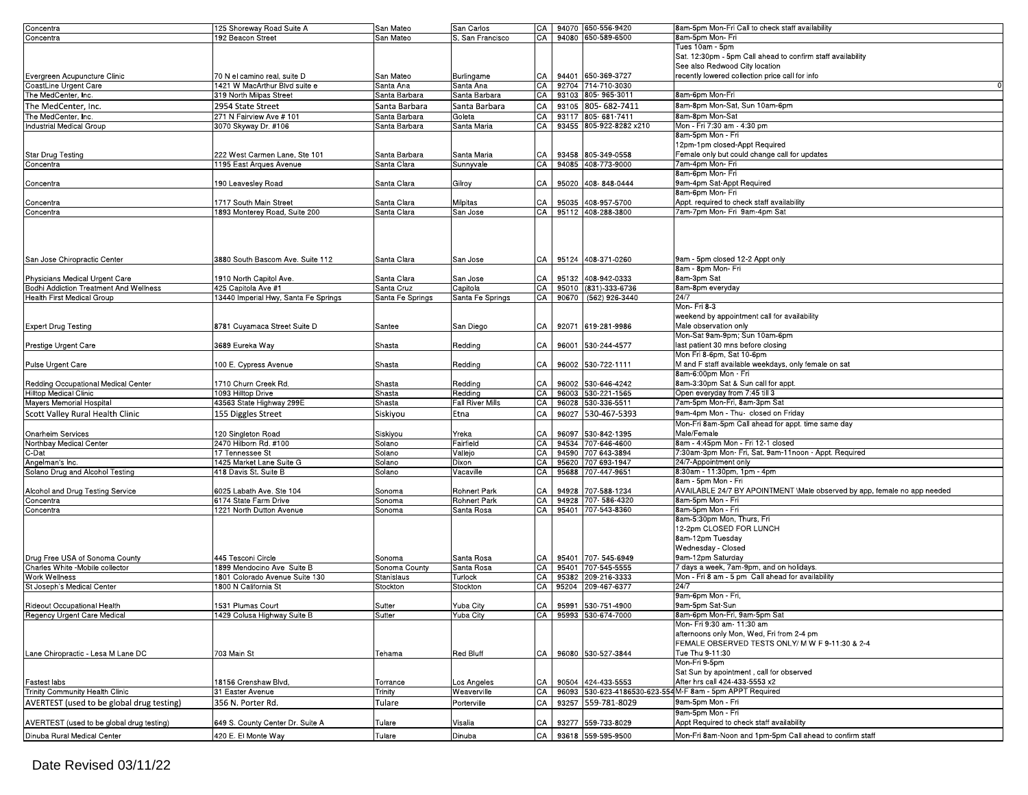| Concentra                                 | 125 Shoreway Road Suite A            | San Mateo        | San Carlos          |      |       | CA 94070 650-556-9420        | 8am-5pm Mon-Fri Call to check staff availability                         |
|-------------------------------------------|--------------------------------------|------------------|---------------------|------|-------|------------------------------|--------------------------------------------------------------------------|
|                                           |                                      |                  |                     |      |       |                              |                                                                          |
| Concentra                                 | 192 Beacon Street                    | San Mateo        | S. San Francisco    | CA   |       | 94080 650-589-6500           | 8am-5pm Mon- Fri                                                         |
|                                           |                                      |                  |                     |      |       |                              | Tues 10am - 5pm                                                          |
|                                           |                                      |                  |                     |      |       |                              | Sat. 12:30pm - 5pm Call ahead to confirm staff availability              |
|                                           |                                      |                  |                     |      |       |                              | See also Redwood City location                                           |
| Evergreen Acupuncture Clinic              | 70 N el camino real, suite D         | San Mateo        | Burlingame          | CA   |       | 94401 650-369-3727           | recently lowered collection price call for info                          |
| CoastLine Urgent Care                     | 1421 W MacArthur Blvd suite e        | Santa Ana        | Santa Ana           | СA   |       | 92704 714-710-3030           |                                                                          |
|                                           |                                      |                  |                     |      |       | 93103 805-965-3011           | 8am-6pm Mon-Fri                                                          |
| The MedCenter, Inc.                       | 319 North Milpas Street              | Santa Barbara    | Santa Barbara       | CA   |       |                              |                                                                          |
| The MedCenter. Inc.                       | 2954 State Street                    | Santa Barbara    | Santa Barbara       | CA   |       | 93105 805-682-7411           | 8am-8pm Mon-Sat, Sun 10am-6pm                                            |
| The MedCenter, Inc.                       | 271 N Fairview Ave # 101             | Santa Barbara    | Goleta              | СA   |       | 93117 805-681-7411           | 8am-8pm Mon-Sat                                                          |
| Industrial Medical Group                  | 3070 Skyway Dr. #106                 | Santa Barbara    | Santa Maria         | CА   | 93455 | 805-922-8282 x210            | Mon - Fri 7:30 am - 4:30 pm                                              |
|                                           |                                      |                  |                     |      |       |                              | 8am-5pm Mon - Fri                                                        |
|                                           |                                      |                  |                     |      |       |                              |                                                                          |
|                                           |                                      |                  |                     |      |       |                              | 12pm-1pm closed-Appt Required                                            |
| <b>Star Drug Testing</b>                  | 222 West Carmen Lane, Ste 101        | Santa Barbara    | Santa Maria         | CA   |       | 93458 805-349-0558           | Female only but could change call for updates                            |
| Concentra                                 | 1195 East Arques Avenue              | Santa Clara      | Sunnyvale           | СA   |       | 94085 408-773-9000           | 7am-4pm Mon- Fri                                                         |
|                                           |                                      |                  |                     |      |       |                              | 8am-6pm Mon- Fri                                                         |
| Concentra                                 | 190 Leavesley Road                   | Santa Clara      | Gilroy              | СA   | 95020 | 408-848-0444                 | 9am-4pm Sat-Appt Required                                                |
|                                           |                                      |                  |                     |      |       |                              | 8am-6pm Mon- Fri                                                         |
|                                           |                                      |                  |                     |      |       |                              |                                                                          |
| Concentra                                 | 1717 South Main Street               | Santa Clara      | Milpitas            | СA   | 95035 | 408-957-5700                 | Appt. required to check staff availability                               |
| Concentra                                 | 1893 Monterey Road, Suite 200        | Santa Clara      | San Jose            | CA   |       | 95112 408-288-3800           | 7am-7pm Mon- Fri 9am-4pm Sat                                             |
|                                           |                                      |                  |                     |      |       |                              |                                                                          |
|                                           |                                      |                  |                     |      |       |                              |                                                                          |
|                                           |                                      |                  |                     |      |       |                              |                                                                          |
|                                           |                                      |                  |                     |      |       |                              |                                                                          |
|                                           |                                      |                  |                     |      |       |                              |                                                                          |
| San Jose Chiropractic Center              | 3880 South Bascom Ave. Suite 112     | Santa Clara      | San Jose            | CA   |       | 95124 408-371-0260           | 9am - 5pm closed 12-2 Appt only                                          |
|                                           |                                      |                  |                     |      |       |                              | 8am - 8pm Mon- Fri                                                       |
| Physicians Medical Urgent Care            | 1910 North Capitol Ave.              | Santa Clara      | San Jose            | CA   | 95132 | 408-942-0333                 | 8am-3pm Sat                                                              |
| Bodhi Addiction Treatment And Wellness    | 425 Capitola Ave #1                  | Santa Cruz       | Capitola            | СA   |       | 95010 (831)-333-6736         | 8am-8pm everyday                                                         |
|                                           |                                      |                  |                     |      |       |                              | 24/7                                                                     |
| Health First Medical Group                | 13440 Imperial Hwy, Santa Fe Springs | Santa Fe Springs | Santa Fe Springs    | CA   |       | 90670 (562) 926-3440         |                                                                          |
|                                           |                                      |                  |                     |      |       |                              | Mon- Fri 8-3                                                             |
|                                           |                                      |                  |                     |      |       |                              | weekend by appointment call for availability                             |
| <b>Expert Drug Testing</b>                | 8781 Cuvamaca Street Suite D         | Santee           | San Diego           | CA   | 92071 | 619-281-9986                 | Male observation only                                                    |
|                                           |                                      |                  |                     |      |       |                              | Mon-Sat 9am-9pm; Sun 10am-6pm                                            |
|                                           | 3689 Eureka Wav                      |                  |                     |      |       |                              | last patient 30 mns before closing                                       |
| Prestige Urgent Care                      |                                      | Shasta           | Redding             | CA   | 96001 | 530-244-4577                 |                                                                          |
|                                           |                                      |                  |                     |      |       |                              | Mon Fri 8-6pm, Sat 10-6pm                                                |
| Pulse Urgent Care                         | 100 E. Cypress Avenue                | Shasta           | Redding             | СA   | 96002 | 530-722-1111                 | M and F staff available weekdays, only female on sat                     |
|                                           |                                      |                  |                     |      |       |                              | 8am-6:00pm Mon - Fri                                                     |
| Redding Occupational Medical Center       | 1710 Churn Creek Rd.                 | Shasta           | Redding             | CA   |       | 96002 530-646-4242           | 8am-3:30pm Sat & Sun call for appt                                       |
| <b>Hilltop Medical Clinic</b>             | 1093 Hilltop Drive                   | Shasta           | Redding             | CА   |       | 96003 530-221-1565           | Open everyday from 7:45 till 3                                           |
|                                           |                                      |                  |                     |      |       |                              |                                                                          |
| Mayers Memorial Hospital                  | 43563 State Highway 299E             | Shasta           | Fall River Mills    | СA   | 96028 | 530-336-5511                 | 7am-5pm Mon-Fri, 8am-3pm Sat                                             |
| Scott Valley Rural Health Clinic          | 155 Diggles Street                   | Siskiyou         | Etna                | CA   | 96027 | 530-467-5393                 | 9am-4pm Mon - Thu- closed on Friday                                      |
|                                           |                                      |                  |                     |      |       |                              | Mon-Fri 8am-5pm Call ahead for appt. time same day                       |
| Onarheim Services                         | 120 Singleton Road                   | Siskiyou         | Yreka               | СA   | 96097 | 530-842-1395                 | Male/Female                                                              |
|                                           |                                      |                  |                     |      |       |                              |                                                                          |
| Northbay Medical Center                   | 2470 Hilborn Rd. #100                | Solano           | Fairfield           | СA   |       | 94534 707-646-4600           | 8am - 4:45pm Mon - Fri 12-1 closed                                       |
| C-Dat                                     | 17 Tennessee St                      | Solano           | Vallejo             | CA   |       | 94590 707 643-3894           | 7:30am-3pm Mon- Fri, Sat. 9am-11noon - Appt. Required                    |
| Angelman's Inc.                           | 1425 Market Lane Suite G             | Solano           | Dixon               | СA   |       | 95620 707 693-1947           | 24/7-Appointment only                                                    |
| Solano Drug and Alcohol Testing           | 418 Davis St. Suite B                | Solano           | Vacaville           | СA   |       | 95688 707-447-9651           | 8:30am - 11:30pm, 1pm - 4pm                                              |
|                                           |                                      |                  |                     |      |       |                              | 8am - 5pm Mon - Fri                                                      |
| Alcohol and Drug Testing Service          |                                      |                  |                     | СA   |       | 94928 707-588-1234           | AVAILABLE 24/7 BY APOINTMENT \Male observed by app, female no app needed |
|                                           | 6025 Labath Ave. Ste 104             | Sonoma           | Rohnert Park        |      |       |                              |                                                                          |
| Concentra                                 | 6174 State Farm Drive                | Sonoma           | <b>Rohnert Park</b> | CА   |       | 94928 707-586-4320           | 8am-5pm Mon - Fri                                                        |
| Concentra                                 | 1221 North Dutton Avenue             | Sonoma           | Santa Rosa          | СA   |       | 95401 707-543-8360           | 8am-5pm Mon - Fri                                                        |
|                                           |                                      |                  |                     |      |       |                              | 8am-5:30pm Mon, Thurs, Fri                                               |
|                                           |                                      |                  |                     |      |       |                              | 12-2pm CLOSED FOR LUNCH                                                  |
|                                           |                                      |                  |                     |      |       |                              | 8am-12pm Tuesday                                                         |
|                                           |                                      |                  |                     |      |       |                              |                                                                          |
|                                           |                                      |                  |                     |      |       |                              | Wednesday - Closed                                                       |
| Drug Free USA of Sonoma County            | 445 Tesconi Circle                   | Sonoma           | Santa Rosa          | CA   |       | 95401 707-545-6949           | 9am-12pm Saturday                                                        |
| Charles White -Mobile collector           | 1899 Mendocino Ave Suite B           | Sonoma County    | Santa Rosa          | СA   |       | 95401 707-545-5555           | 7 days a week, 7am-9pm, and on holidays.                                 |
| <b>Work Wellness</b>                      | 1801 Colorado Avenue Suite 130       | Stanislaus       | Turlock             | CA   |       | 95382 209-216-3333           | Mon - Fri 8 am - 5 pm Call ahead for availability                        |
| St Joseph's Medical Center                | 1800 N California St                 | Stockton         | Stockton            | СA   |       | 95204 209-467-6377           | 24/7                                                                     |
|                                           |                                      |                  |                     |      |       |                              | 9am-6pm Mon - Fri,                                                       |
|                                           |                                      |                  |                     |      |       |                              |                                                                          |
| Rideout Occupational Health               | 1531 Plumas Court                    | Sutter           | Yuba City           |      |       | CA 95991 530-751-4900        | 9am-5pm Sat-Sun                                                          |
| Regency Urgent Care Medical               | 1429 Colusa Highway Suite B          | Sutter           | Yuba City           | CA I |       | 95993 530-674-7000           | 8am-6pm Mon-Fri, 9am-5pm Sat                                             |
|                                           |                                      |                  |                     |      |       |                              | Mon- Fri 9:30 am- 11:30 am                                               |
|                                           |                                      |                  |                     |      |       |                              | afternoons only Mon, Wed, Fri from 2-4 pm                                |
|                                           |                                      |                  |                     |      |       |                              | FEMALE OBSERVED TESTS ONLY/ M W F 9-11:30 & 2-4                          |
|                                           |                                      |                  |                     |      |       |                              |                                                                          |
| Lane Chiropractic - Lesa M Lane DC        | 703 Main St                          | Tehama           | Red Bluff           | CA   |       | 96080 530-527-3844           | Tue Thu 9-11:30                                                          |
|                                           |                                      |                  |                     |      |       |                              | Mon-Fri 9-5pm                                                            |
|                                           |                                      |                  |                     |      |       |                              | Sat Sun by apointment, call for observed                                 |
| <b>Fastest labs</b>                       | 18156 Crenshaw Blvd,                 | Torrance         | Los Angeles         | CA   |       | 90504 424-433-5553           | After hrs call 424-433-5553 x2                                           |
| Trinity Community Health Clinic           | 31 Easter Avenue                     | Trinity          | Weaverville         | СA   |       | 96093 530-623-4186530-623-55 | M-F 8am - 5pm APPT Required                                              |
|                                           |                                      |                  |                     |      |       |                              |                                                                          |
| AVERTEST (used to be global drug testing) | 356 N. Porter Rd.                    | Tulare           | Porterville         | CA   | 93257 | 559-781-8029                 | 9am-5pm Mon - Fri                                                        |
|                                           |                                      |                  |                     |      |       |                              | 9am-5pm Mon - Fri                                                        |
| AVERTEST (used to be global drug testing) | 649 S. County Center Dr. Suite A     | Tulare           | Visalia             | СA   | 93277 | 559-733-8029                 | Appt Required to check staff availability                                |
|                                           |                                      |                  |                     |      |       |                              |                                                                          |
| Dinuba Rural Medical Center               | 420 E. El Monte Way                  | Tulare           | Dinuba              | CA   |       | 93618 559-595-9500           | Mon-Fri 8am-Noon and 1pm-5pm Call ahead to confirm staff                 |
|                                           |                                      |                  |                     |      |       |                              |                                                                          |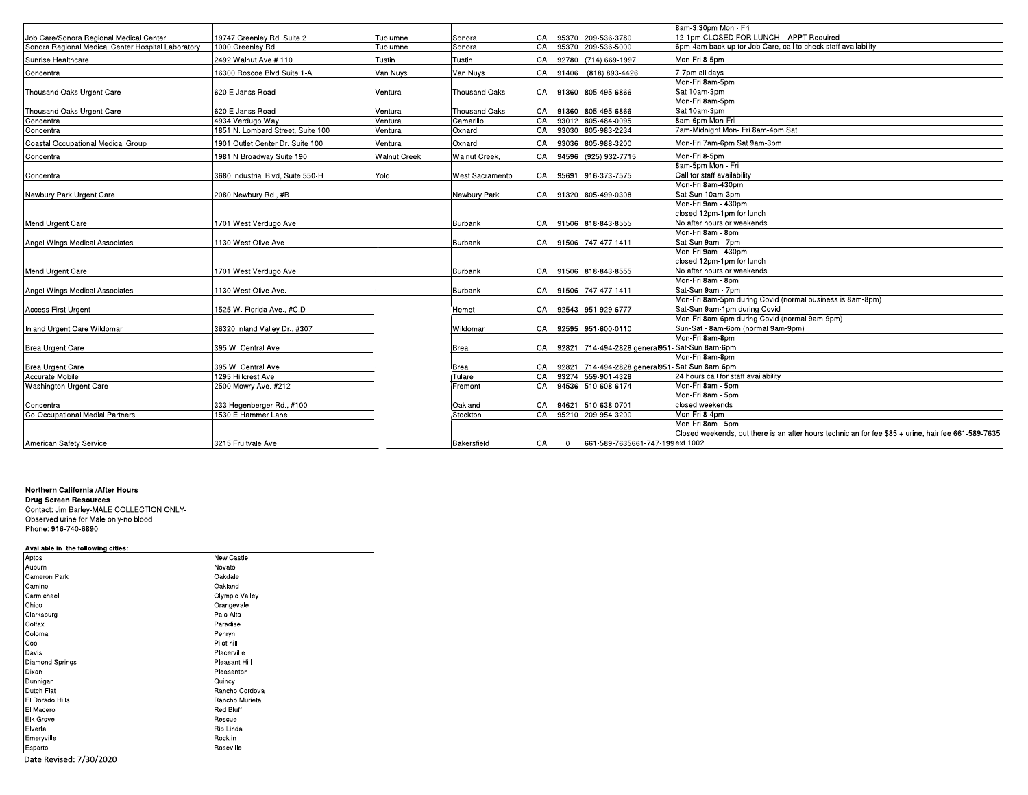| 8am-3:30pm Mon - Fri<br>12-1pm CLOSED FOR LUNCH APPT Required<br>Job Care/Sonora Regional Medical Center<br>19747 Greenley Rd. Suite 2<br>CA<br>95370 209-536-3780<br>Tuolumne<br>Sonora<br>6pm-4am back up for Job Care, call to check staff availability<br>Sonora Regional Medical Center Hospital Laboratory<br>95370 209-536-5000<br>1000 Greenley Rd.<br>Tuolumne<br>Sonora<br>СA<br>Mon-Fri 8-5pm<br>Tustin<br>СA<br>92780 (714) 669-1997<br>Sunrise Healthcare<br>2492 Walnut Ave # 110<br>Tustin |                                                                                                     |
|-----------------------------------------------------------------------------------------------------------------------------------------------------------------------------------------------------------------------------------------------------------------------------------------------------------------------------------------------------------------------------------------------------------------------------------------------------------------------------------------------------------|-----------------------------------------------------------------------------------------------------|
|                                                                                                                                                                                                                                                                                                                                                                                                                                                                                                           |                                                                                                     |
|                                                                                                                                                                                                                                                                                                                                                                                                                                                                                                           |                                                                                                     |
|                                                                                                                                                                                                                                                                                                                                                                                                                                                                                                           |                                                                                                     |
|                                                                                                                                                                                                                                                                                                                                                                                                                                                                                                           |                                                                                                     |
| Van Nuys<br>Van Nuvs<br>7-7pm all days<br>16300 Roscoe Blvd Suite 1-A<br>CA<br>91406 (818) 893-4426<br>Concentra                                                                                                                                                                                                                                                                                                                                                                                          |                                                                                                     |
| Mon-Fri 8am-5pm                                                                                                                                                                                                                                                                                                                                                                                                                                                                                           |                                                                                                     |
| <b>Thousand Oaks</b><br>Sat 10am-3pm<br>Thousand Oaks Urgent Care<br>620 E Janss Road<br>91360 805-495-6866<br>Ventura<br>CA I                                                                                                                                                                                                                                                                                                                                                                            |                                                                                                     |
| Mon-Fri 8am-5pm                                                                                                                                                                                                                                                                                                                                                                                                                                                                                           |                                                                                                     |
| Sat 10am-3pm<br>620 E Janss Road<br><b>Thousand Oaks</b><br>91360 805-495-6866<br>Thousand Oaks Urgent Care<br>CA<br>Ventura                                                                                                                                                                                                                                                                                                                                                                              |                                                                                                     |
| 93012 805-484-0095<br>8am-6pm Mon-Fri<br>4934 Verdugo Way<br>Ventura<br>Camarillo<br>CA<br>Concentra                                                                                                                                                                                                                                                                                                                                                                                                      |                                                                                                     |
| 93030 805-983-2234<br>7am-Midnight Mon- Fri 8am-4pm Sat<br>1851 N. Lombard Street, Suite 100<br>CA<br>Ventura<br>Oxnard<br>Concentra                                                                                                                                                                                                                                                                                                                                                                      |                                                                                                     |
| Coastal Occupational Medical Group<br>1901 Outlet Center Dr. Suite 100<br>93036 805-988-3200<br>Mon-Fri 7am-6pm Sat 9am-3pm<br>Ventura<br>Oxnard<br>СA                                                                                                                                                                                                                                                                                                                                                    |                                                                                                     |
| <b>Walnut Creek</b><br>Walnut Creek,<br>CA<br>94596 (925) 932-7715<br>Mon-Fri 8-5pm<br>1981 N Broadway Suite 190<br>Concentra                                                                                                                                                                                                                                                                                                                                                                             |                                                                                                     |
| 8am-5pm Mon - Fri                                                                                                                                                                                                                                                                                                                                                                                                                                                                                         |                                                                                                     |
| Call for staff availability<br>Yolo<br>3680 Industrial Blvd. Suite 550-H<br>West Sacramento<br>CA 95691 916-373-7575<br>Concentra                                                                                                                                                                                                                                                                                                                                                                         |                                                                                                     |
| Mon-Fri 8am-430pm                                                                                                                                                                                                                                                                                                                                                                                                                                                                                         |                                                                                                     |
| Sat-Sun 10am-3pm<br>Newbury Park<br>CA 91320 805-499-0308<br>Newbury Park Urgent Care<br>2080 Newbury Rd., #B                                                                                                                                                                                                                                                                                                                                                                                             |                                                                                                     |
| Mon-Fri 9am - 430pm                                                                                                                                                                                                                                                                                                                                                                                                                                                                                       |                                                                                                     |
| closed 12pm-1pm for lunch                                                                                                                                                                                                                                                                                                                                                                                                                                                                                 |                                                                                                     |
| No after hours or weekends<br>91506 818-843-8555<br>Mend Urgent Care<br>1701 West Verdugo Ave<br><b>Burbank</b><br>CA                                                                                                                                                                                                                                                                                                                                                                                     |                                                                                                     |
| Mon-Fri 8am - 8pm                                                                                                                                                                                                                                                                                                                                                                                                                                                                                         |                                                                                                     |
| Sat-Sun 9am - 7pm<br>1130 West Olive Ave.<br>CA 91506 747-477-1411<br>Angel Wings Medical Associates<br>Burbank                                                                                                                                                                                                                                                                                                                                                                                           |                                                                                                     |
| Mon-Fri 9am - 430pm                                                                                                                                                                                                                                                                                                                                                                                                                                                                                       |                                                                                                     |
| closed 12pm-1pm for lunch                                                                                                                                                                                                                                                                                                                                                                                                                                                                                 |                                                                                                     |
| No after hours or weekends<br>Mend Urgent Care<br>CA 91506 818-843-8555<br>1701 West Verdugo Ave<br>Burbank                                                                                                                                                                                                                                                                                                                                                                                               |                                                                                                     |
| Mon-Fri 8am - 8pm                                                                                                                                                                                                                                                                                                                                                                                                                                                                                         |                                                                                                     |
| Sat-Sun 9am - 7pm<br>CA 91506 747-477-1411<br>Angel Wings Medical Associates<br>1130 West Olive Ave.<br>Burbank                                                                                                                                                                                                                                                                                                                                                                                           |                                                                                                     |
| Mon-Fri 8am-5pm during Covid (normal business is 8am-8pm)                                                                                                                                                                                                                                                                                                                                                                                                                                                 |                                                                                                     |
| Sat-Sun 9am-1pm during Covid<br>92543 951-929-6777<br><b>Access First Urgent</b><br>1525 W. Florida Ave., #C,D<br>CA  <br>Hemet                                                                                                                                                                                                                                                                                                                                                                           |                                                                                                     |
| Mon-Fri 8am-6pm during Covid (normal 9am-9pm)                                                                                                                                                                                                                                                                                                                                                                                                                                                             |                                                                                                     |
| 92595 951-600-0110<br>Sun-Sat - 8am-6pm (normal 9am-9pm)<br>Inland Urgent Care Wildomar<br>36320 Inland Valley Dr., #307<br>Wildomar<br>CA I                                                                                                                                                                                                                                                                                                                                                              |                                                                                                     |
| Mon-Fri 8am-8pm                                                                                                                                                                                                                                                                                                                                                                                                                                                                                           |                                                                                                     |
| 92821 714-494-2828 general951-Sat-Sun 8am-6pm<br>395 W. Central Ave.<br>Brea Urgent Care<br>CA I<br>Brea                                                                                                                                                                                                                                                                                                                                                                                                  |                                                                                                     |
| Mon-Fri 8am-8pm                                                                                                                                                                                                                                                                                                                                                                                                                                                                                           |                                                                                                     |
| 92821 714-494-2828 general951-Sat-Sun 8am-6pm<br>395 W. Central Ave.<br>Brea Urgent Care<br>CA<br>Brea                                                                                                                                                                                                                                                                                                                                                                                                    |                                                                                                     |
| 93274 559-901-4328<br>Accurate Mobile<br>1295 Hillcrest Ave<br>Tulare<br>CA<br>24 hours call for staff availability                                                                                                                                                                                                                                                                                                                                                                                       |                                                                                                     |
| CA<br>94536 510-608-6174<br>Mon-Fri 8am - 5pm<br><b>Washington Urgent Care</b><br>2500 Mowry Ave. #212<br>Fremont                                                                                                                                                                                                                                                                                                                                                                                         |                                                                                                     |
| Mon-Fri 8am - 5pm                                                                                                                                                                                                                                                                                                                                                                                                                                                                                         |                                                                                                     |
| closed weekends<br>333 Hegenberger Rd., #100<br>94621 510-638-0701<br>Oakland<br>CA<br>Concentra                                                                                                                                                                                                                                                                                                                                                                                                          |                                                                                                     |
| Co-Occupational Medial Partners<br>1530 E Hammer Lane<br>CA<br>95210 209-954-3200<br>Mon-Fri 8-4pm<br>Stockton                                                                                                                                                                                                                                                                                                                                                                                            |                                                                                                     |
| Mon-Fri 8am - 5pm                                                                                                                                                                                                                                                                                                                                                                                                                                                                                         |                                                                                                     |
|                                                                                                                                                                                                                                                                                                                                                                                                                                                                                                           | Closed weekends, but there is an after hours technician for fee \$85 + urine, hair fee 661-589-7635 |
| American Safety Service<br>3215 Fruitvale Ave<br>Bakersfield<br>CA<br>661-589-7635661-747-199 ext 1002<br>$\mathbf{0}$                                                                                                                                                                                                                                                                                                                                                                                    |                                                                                                     |

## Northern California / After Hours

**Drug Screen Resources** Contact: Jim Barley-MALE COLLECTION ONLY-Observed urine for Male only-no blood Phone: 916-740-6890

## Available in the following cities:

| Aptos                   | New Castle       |
|-------------------------|------------------|
| Auburn                  | Novato           |
| Cameron Park            | Oakdale          |
| Camino                  | Oakland          |
| Carmichael              | Olympic Valley   |
| Chico                   | Orangevale       |
| Clarksburg              | Palo Alto        |
| Colfax                  | Paradise         |
| Coloma                  | Penryn           |
| Cool                    | Pilot hill       |
| Davis                   | Placerville      |
| Diamond Springs         | Pleasant Hill    |
| Dixon                   | Pleasanton       |
| Dunnigan                | Quincy           |
| Dutch Flat              | Rancho Cordova   |
| El Dorado Hills         | Rancho Murieta   |
| El Macero               | <b>Red Bluff</b> |
| Elk Grove               | Rescue           |
| Elverta                 | Rio Linda        |
| Emeryville              | Rocklin          |
| Esparto                 | Roseville        |
| Date Revised: 7/30/2020 |                  |